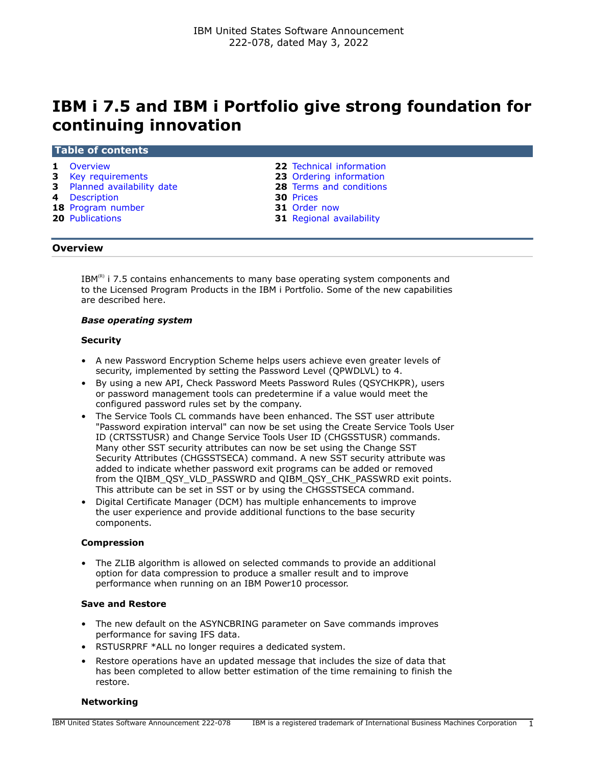# **IBM i 7.5 and IBM i Portfolio give strong foundation for continuing innovation**

#### **Table of contents**

- 
- **3** [Key requirements](#page-2-0) **23** [Ordering information](#page-22-0)
- **3** [Planned availability date](#page-2-1) **28** [Terms and conditions](#page-27-0)
- 
- **4** [Description](#page-3-0) **30** [Prices](#page-29-0) **18** [Program number](#page-17-0)
- 
- **1** [Overview](#page-0-0) **22** [Technical information](#page-21-0)
	-
	-
	-
	-
- **20** [Publications](#page-19-0) **31** [Regional availability](#page-30-1)

### <span id="page-0-0"></span>**Overview**

 $IBM<sup>(R)</sup>$  i 7.5 contains enhancements to many base operating system components and to the Licensed Program Products in the IBM i Portfolio. Some of the new capabilities are described here.

### *Base operating system*

### **Security**

- A new Password Encryption Scheme helps users achieve even greater levels of security, implemented by setting the Password Level (QPWDLVL) to 4.
- By using a new API, Check Password Meets Password Rules (QSYCHKPR), users or password management tools can predetermine if a value would meet the configured password rules set by the company.
- The Service Tools CL commands have been enhanced. The SST user attribute "Password expiration interval" can now be set using the Create Service Tools User ID (CRTSSTUSR) and Change Service Tools User ID (CHGSSTUSR) commands. Many other SST security attributes can now be set using the Change SST Security Attributes (CHGSSTSECA) command. A new SST security attribute was added to indicate whether password exit programs can be added or removed from the QIBM\_QSY\_VLD\_PASSWRD and QIBM\_QSY\_CHK\_PASSWRD exit points. This attribute can be set in SST or by using the CHGSSTSECA command.
- Digital Certificate Manager (DCM) has multiple enhancements to improve the user experience and provide additional functions to the base security components.

### **Compression**

• The ZLIB algorithm is allowed on selected commands to provide an additional option for data compression to produce a smaller result and to improve performance when running on an IBM Power10 processor.

### **Save and Restore**

- The new default on the ASYNCBRING parameter on Save commands improves performance for saving IFS data.
- RSTUSRPRF \*ALL no longer requires a dedicated system.
- Restore operations have an updated message that includes the size of data that has been completed to allow better estimation of the time remaining to finish the restore.

### **Networking**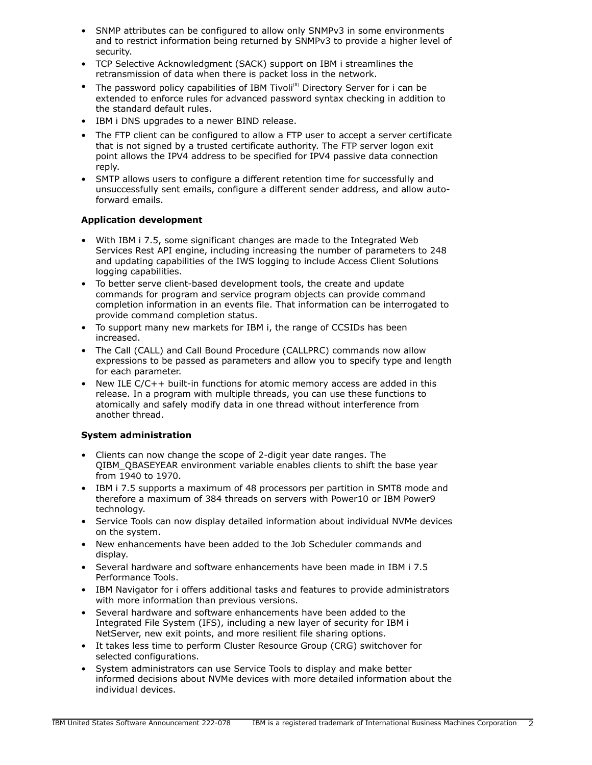- SNMP attributes can be configured to allow only SNMPv3 in some environments and to restrict information being returned by SNMPv3 to provide a higher level of security.
- TCP Selective Acknowledgment (SACK) support on IBM i streamlines the retransmission of data when there is packet loss in the network.
- The password policy capabilities of IBM Tivoli<sup>(R)</sup> Directory Server for i can be extended to enforce rules for advanced password syntax checking in addition to the standard default rules.
- IBM i DNS upgrades to a newer BIND release.
- The FTP client can be configured to allow a FTP user to accept a server certificate that is not signed by a trusted certificate authority. The FTP server logon exit point allows the IPV4 address to be specified for IPV4 passive data connection reply.
- SMTP allows users to configure a different retention time for successfully and unsuccessfully sent emails, configure a different sender address, and allow autoforward emails.

# **Application development**

- With IBM i 7.5, some significant changes are made to the Integrated Web Services Rest API engine, including increasing the number of parameters to 248 and updating capabilities of the IWS logging to include Access Client Solutions logging capabilities.
- To better serve client-based development tools, the create and update commands for program and service program objects can provide command completion information in an events file. That information can be interrogated to provide command completion status.
- To support many new markets for IBM i, the range of CCSIDs has been increased.
- The Call (CALL) and Call Bound Procedure (CALLPRC) commands now allow expressions to be passed as parameters and allow you to specify type and length for each parameter.
- New ILE C/C++ built-in functions for atomic memory access are added in this release. In a program with multiple threads, you can use these functions to atomically and safely modify data in one thread without interference from another thread.

# **System administration**

- Clients can now change the scope of 2-digit year date ranges. The QIBM\_QBASEYEAR environment variable enables clients to shift the base year from 1940 to 1970.
- IBM i 7.5 supports a maximum of 48 processors per partition in SMT8 mode and therefore a maximum of 384 threads on servers with Power10 or IBM Power9 technology.
- Service Tools can now display detailed information about individual NVMe devices on the system.
- New enhancements have been added to the Job Scheduler commands and display.
- Several hardware and software enhancements have been made in IBM i 7.5 Performance Tools.
- IBM Navigator for i offers additional tasks and features to provide administrators with more information than previous versions.
- Several hardware and software enhancements have been added to the Integrated File System (IFS), including a new layer of security for IBM i NetServer, new exit points, and more resilient file sharing options.
- It takes less time to perform Cluster Resource Group (CRG) switchover for selected configurations.
- System administrators can use Service Tools to display and make better informed decisions about NVMe devices with more detailed information about the individual devices.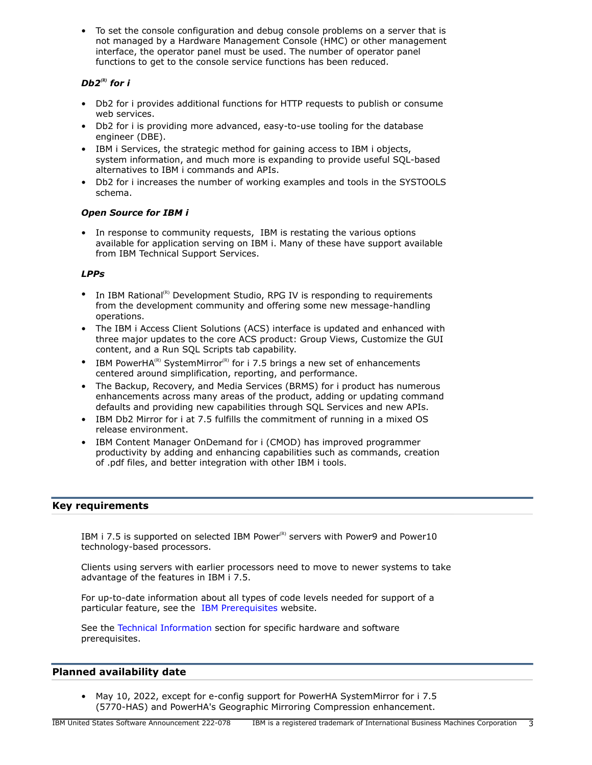• To set the console configuration and debug console problems on a server that is not managed by a Hardware Management Console (HMC) or other management interface, the operator panel must be used. The number of operator panel functions to get to the console service functions has been reduced.

# *Db2<sup>(R)</sup>* for *i*

- Db2 for i provides additional functions for HTTP requests to publish or consume web services.
- Db2 for i is providing more advanced, easy-to-use tooling for the database engineer (DBE).
- IBM i Services, the strategic method for gaining access to IBM i objects, system information, and much more is expanding to provide useful SQL-based alternatives to IBM i commands and APIs.
- Db2 for i increases the number of working examples and tools in the SYSTOOLS schema.

# *Open Source for IBM i*

• In response to community requests, IBM is restating the various options available for application serving on IBM i. Many of these have support available from IBM Technical Support Services.

# *LPPs*

- In IBM Rational<sup>(R)</sup> Development Studio, RPG IV is responding to requirements from the development community and offering some new message-handling operations.
- The IBM i Access Client Solutions (ACS) interface is updated and enhanced with three major updates to the core ACS product: Group Views, Customize the GUI content, and a Run SQL Scripts tab capability.
- IBM PowerHA<sup>(R)</sup> SystemMirror<sup>(R)</sup> for i 7.5 brings a new set of enhancements centered around simplification, reporting, and performance.
- The Backup, Recovery, and Media Services (BRMS) for i product has numerous enhancements across many areas of the product, adding or updating command defaults and providing new capabilities through SQL Services and new APIs.
- IBM Db2 Mirror for i at 7.5 fulfills the commitment of running in a mixed OS release environment.
- IBM Content Manager OnDemand for i (CMOD) has improved programmer productivity by adding and enhancing capabilities such as commands, creation of .pdf files, and better integration with other IBM i tools.

# <span id="page-2-0"></span>**Key requirements**

IBM i 7.5 is supported on selected IBM Power ${}^{(R)}$  servers with Power9 and Power10 technology-based processors.

Clients using servers with earlier processors need to move to newer systems to take advantage of the features in IBM i 7.5.

For up-to-date information about all types of code levels needed for support of a particular feature, see the [IBM Prerequisites](https://www.ibm.com/support/customercare/iprt/home) website.

See the [Technical Information](#page-21-0) section for specific hardware and software prerequisites.

### <span id="page-2-1"></span>**Planned availability date**

• May 10, 2022, except for e-config support for PowerHA SystemMirror for i 7.5 (5770-HAS) and PowerHA's Geographic Mirroring Compression enhancement.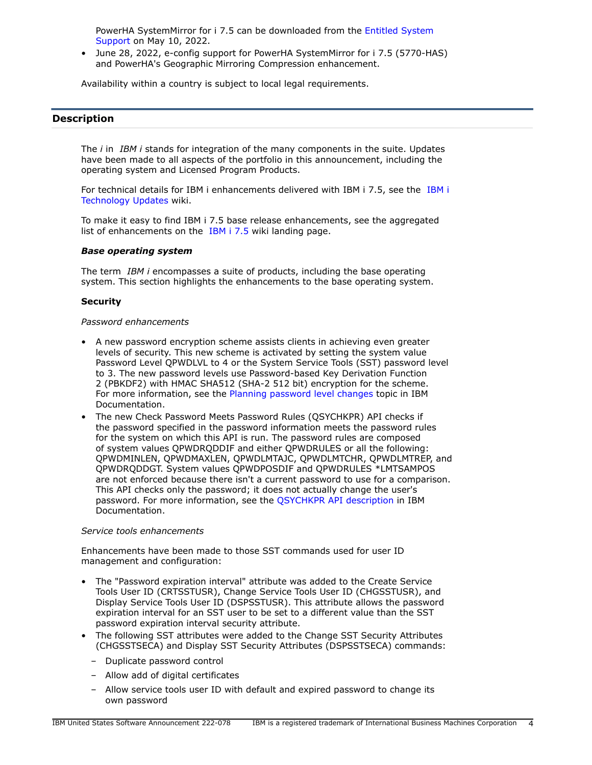PowerHA SystemMirror for i 7.5 can be downloaded from the [Entitled System](https://www.ibm.com/servers/eserver/ess/index.wss) [Support](https://www.ibm.com/servers/eserver/ess/index.wss) on May 10, 2022.

• June 28, 2022, e-config support for PowerHA SystemMirror for i 7.5 (5770-HAS) and PowerHA's Geographic Mirroring Compression enhancement.

Availability within a country is subject to local legal requirements.

### <span id="page-3-0"></span>**Description**

The *i* in *IBM i* stands for integration of the many components in the suite. Updates have been made to all aspects of the portfolio in this announcement, including the operating system and Licensed Program Products.

For technical details for IBM i enhancements delivered with IBM i 7.5, see the [IBM i](https://www.ibm.com/support/pages/node/1119129) [Technology Updates](https://www.ibm.com/support/pages/node/1119129) wiki.

To make it easy to find IBM i 7.5 base release enhancements, see the aggregated list of enhancements on the [IBM i 7.5](https://www.ibm.com/support/pages/ibm-i-75-base-enhancements) wiki landing page.

### *Base operating system*

The term *IBM i* encompasses a suite of products, including the base operating system. This section highlights the enhancements to the base operating system.

### **Security**

### *Password enhancements*

- A new password encryption scheme assists clients in achieving even greater levels of security. This new scheme is activated by setting the system value Password Level QPWDLVL to 4 or the System Service Tools (SST) password level to 3. The new password levels use Password-based Key Derivation Function 2 (PBKDF2) with HMAC SHA512 (SHA-2 512 bit) encryption for the scheme. For more information, see the [Planning password level changes](https://www.ibm.com/docs/en/i/7.5?topic=security-planning-password-level-changes) topic in IBM Documentation.
- The new Check Password Meets Password Rules (QSYCHKPR) API checks if the password specified in the password information meets the password rules for the system on which this API is run. The password rules are composed of system values QPWDRQDDIF and either QPWDRULES or all the following: QPWDMINLEN, QPWDMAXLEN, QPWDLMTAJC, QPWDLMTCHR, QPWDLMTREP, and QPWDRQDDGT. System values QPWDPOSDIF and QPWDRULES \*LMTSAMPOS are not enforced because there isn't a current password to use for a comparison. This API checks only the password; it does not actually change the user's password. For more information, see the [QSYCHKPR API description](https://www.ibm.com/docs/en/i/7.5?topic=ssw_ibm_i_75/apis/qsychkpr.htm) in IBM Documentation.

### *Service tools enhancements*

Enhancements have been made to those SST commands used for user ID management and configuration:

- The "Password expiration interval" attribute was added to the Create Service Tools User ID (CRTSSTUSR), Change Service Tools User ID (CHGSSTUSR), and Display Service Tools User ID (DSPSSTUSR). This attribute allows the password expiration interval for an SST user to be set to a different value than the SST password expiration interval security attribute.
- The following SST attributes were added to the Change SST Security Attributes (CHGSSTSECA) and Display SST Security Attributes (DSPSSTSECA) commands:
	- Duplicate password control
	- Allow add of digital certificates
	- Allow service tools user ID with default and expired password to change its own password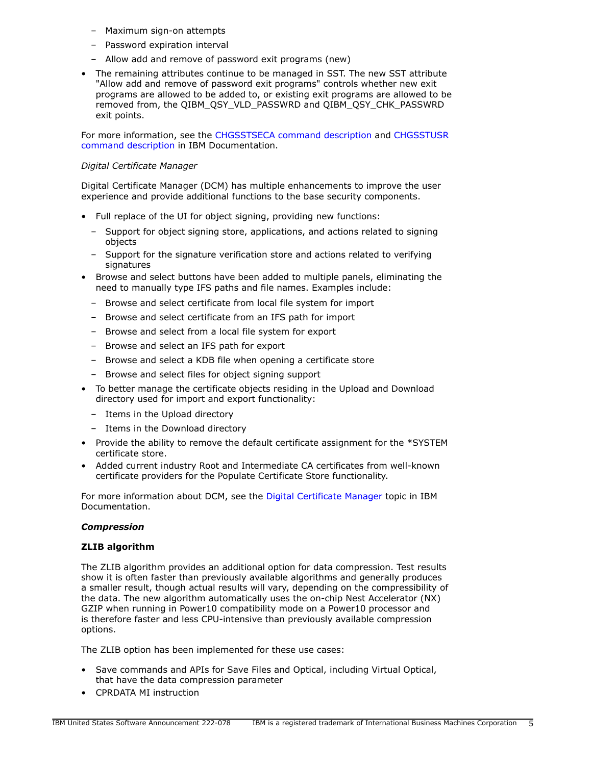- Maximum sign-on attempts
- Password expiration interval
- Allow add and remove of password exit programs (new)
- The remaining attributes continue to be managed in SST. The new SST attribute "Allow add and remove of password exit programs" controls whether new exit programs are allowed to be added to, or existing exit programs are allowed to be removed from, the QIBM\_QSY\_VLD\_PASSWRD and QIBM\_QSY\_CHK\_PASSWRD exit points.

For more information, see the [CHGSSTSECA command description](https://www.ibm.com/docs/en/i/7.5?topic=ssw_ibm_i_75/cl/chgsstseca.htm) and [CHGSSTUSR](https://www.ibm.com/docs/en/i/7.5?topic=ssw_ibm_i_75/cl/chgsstusr.htm) [command description](https://www.ibm.com/docs/en/i/7.5?topic=ssw_ibm_i_75/cl/chgsstusr.htm) in IBM Documentation.

### *Digital Certificate Manager*

Digital Certificate Manager (DCM) has multiple enhancements to improve the user experience and provide additional functions to the base security components.

- Full replace of the UI for object signing, providing new functions:
	- Support for object signing store, applications, and actions related to signing objects
	- Support for the signature verification store and actions related to verifying signatures
- Browse and select buttons have been added to multiple panels, eliminating the need to manually type IFS paths and file names. Examples include:
	- Browse and select certificate from local file system for import
	- Browse and select certificate from an IFS path for import
	- Browse and select from a local file system for export
	- Browse and select an IFS path for export
	- Browse and select a KDB file when opening a certificate store
	- Browse and select files for object signing support
- To better manage the certificate objects residing in the Upload and Download directory used for import and export functionality:
	- Items in the Upload directory
	- Items in the Download directory
- Provide the ability to remove the default certificate assignment for the \*SYSTEM certificate store.
- Added current industry Root and Intermediate CA certificates from well-known certificate providers for the Populate Certificate Store functionality.

For more information about DCM, see the [Digital Certificate Manager](https://www.ibm.com/docs/en/i/7.5?topic=security-digital-certificate-manager) topic in IBM Documentation.

### *Compression*

### **ZLIB algorithm**

The ZLIB algorithm provides an additional option for data compression. Test results show it is often faster than previously available algorithms and generally produces a smaller result, though actual results will vary, depending on the compressibility of the data. The new algorithm automatically uses the on-chip Nest Accelerator (NX) GZIP when running in Power10 compatibility mode on a Power10 processor and is therefore faster and less CPU-intensive than previously available compression options.

The ZLIB option has been implemented for these use cases:

- Save commands and APIs for Save Files and Optical, including Virtual Optical, that have the data compression parameter
- CPRDATA MI instruction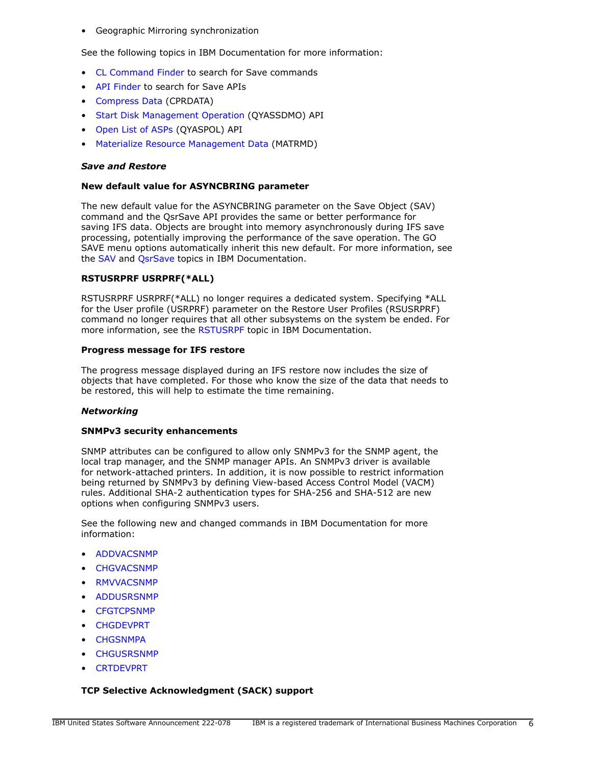• Geographic Mirroring synchronization

See the following topics in IBM Documentation for more information:

- [CL Command Finder](https://www.ibm.com/docs/en/i/7.5?topic=language-cl-command-finder) to search for Save commands
- [API Finder](https://www.ibm.com/docs/en/i/7.5?topic=interfaces-api-finder) to search for Save APIs
- [Compress Data](https://www.ibm.com/docs/en/i/7.5?topic=instructions-compress-data-cprdata) (CPRDATA)
- [Start Disk Management Operation](https://www.ibm.com/docs/en/i/7.5?topic=ssw_ibm_i_75/apis/qyassdmo.htm) (QYASSDMO) API
- [Open List of ASPs](https://www.ibm.com/docs/en/i/7.5?topic=ssw_ibm_i_75/apis/qyaspol.htm) (QYASPOL) API
- [Materialize Resource Management Data](https://www.ibm.com/docs/en/i/7.5?topic=instructions-materialize-resource-management-data-matrmd) (MATRMD)

### *Save and Restore*

#### **New default value for ASYNCBRING parameter**

The new default value for the ASYNCBRING parameter on the Save Object (SAV) command and the QsrSave API provides the same or better performance for saving IFS data. Objects are brought into memory asynchronously during IFS save processing, potentially improving the performance of the save operation. The GO SAVE menu options automatically inherit this new default. For more information, see the [SAV](https://www.ibm.com/docs/en/i/7.5?topic=ssw_ibm_i_75/cl/sav.htm) and [QsrSave](https://www.ibm.com/docs/en/i/7.5?topic=ssw_ibm_i_75/apis/QsrSave.htm) topics in IBM Documentation.

### **RSTUSRPRF USRPRF(\*ALL)**

RSTUSRPRF USRPRF(\*ALL) no longer requires a dedicated system. Specifying \*ALL for the User profile (USRPRF) parameter on the Restore User Profiles (RSUSRPRF) command no longer requires that all other subsystems on the system be ended. For more information, see the [RSTUSRPF](https://www.ibm.com/docs/en/i/7.5?topic=ssw_ibm_i_75/cl/rstusrprf.htm) topic in IBM Documentation.

### **Progress message for IFS restore**

The progress message displayed during an IFS restore now includes the size of objects that have completed. For those who know the size of the data that needs to be restored, this will help to estimate the time remaining.

### *Networking*

### **SNMPv3 security enhancements**

SNMP attributes can be configured to allow only SNMPv3 for the SNMP agent, the local trap manager, and the SNMP manager APIs. An SNMPv3 driver is available for network-attached printers. In addition, it is now possible to restrict information being returned by SNMPv3 by defining View-based Access Control Model (VACM) rules. Additional SHA-2 authentication types for SHA-256 and SHA-512 are new options when configuring SNMPv3 users.

See the following new and changed commands in IBM Documentation for more information:

- [ADDVACSNMP](https://www.ibm.com/docs/api/v1/content/ssw_ibm_i_75/cl/addvacsnmp.htm)
- [CHGVACSNMP](https://www.ibm.com/docs/api/v1/content/ssw_ibm_i_75/cl/chgvacsnmp.htm)
- [RMVVACSNMP](https://www.ibm.com/docs/api/v1/content/ssw_ibm_i_75/cl/rmvvacsnmp.htm)
- [ADDUSRSNMP](https://www.ibm.com/docs/api/v1/content/ssw_ibm_i_75/cl/addusrsnmp.htm)
- **[CFGTCPSNMP](https://www.ibm.com/docs/api/v1/content/ssw_ibm_i_75/cl/cfgtcpsnmp.htm)**
- [CHGDEVPRT](https://www.ibm.com/docs/api/v1/content/ssw_ibm_i_75/cl/chgdevprt.htm)
- **[CHGSNMPA](https://www.ibm.com/docs/api/v1/content/ssw_ibm_i_75/cl/chgsnmpa.htm)**
- [CHGUSRSNMP](https://www.ibm.com/docs/api/v1/content/ssw_ibm_i_75/cl/chgusrsnmp.htm)
- [CRTDEVPRT](https://www.ibm.com/docs/api/v1/content/ssw_ibm_i_75/cl/crtdevprt.htm)

### **TCP Selective Acknowledgment (SACK) support**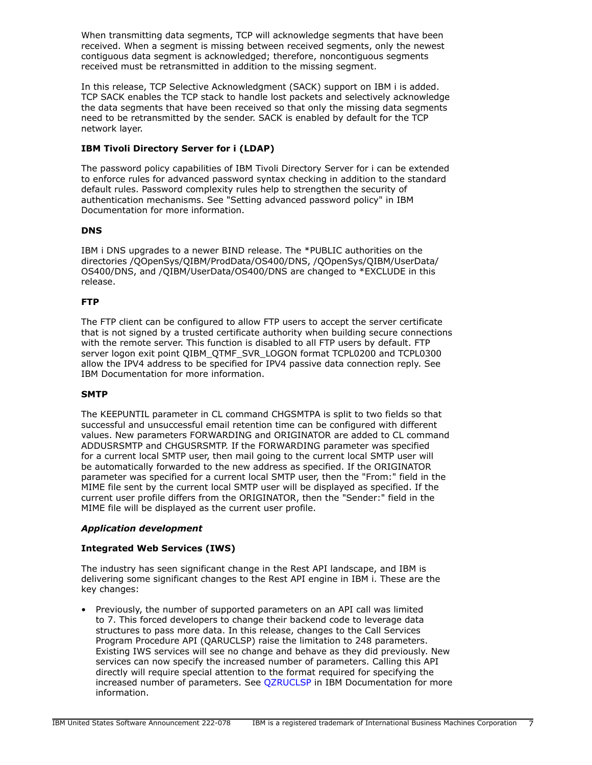When transmitting data segments, TCP will acknowledge segments that have been received. When a segment is missing between received segments, only the newest contiguous data segment is acknowledged; therefore, noncontiguous segments received must be retransmitted in addition to the missing segment.

In this release, TCP Selective Acknowledgment (SACK) support on IBM i is added. TCP SACK enables the TCP stack to handle lost packets and selectively acknowledge the data segments that have been received so that only the missing data segments need to be retransmitted by the sender. SACK is enabled by default for the TCP network layer.

# **IBM Tivoli Directory Server for i (LDAP)**

The password policy capabilities of IBM Tivoli Directory Server for i can be extended to enforce rules for advanced password syntax checking in addition to the standard default rules. Password complexity rules help to strengthen the security of authentication mechanisms. See "Setting advanced password policy" in IBM Documentation for more information.

# **DNS**

IBM i DNS upgrades to a newer BIND release. The \*PUBLIC authorities on the directories /QOpenSys/QIBM/ProdData/OS400/DNS, /QOpenSys/QIBM/UserData/ OS400/DNS, and /QIBM/UserData/OS400/DNS are changed to \*EXCLUDE in this release.

# **FTP**

The FTP client can be configured to allow FTP users to accept the server certificate that is not signed by a trusted certificate authority when building secure connections with the remote server. This function is disabled to all FTP users by default. FTP server logon exit point QIBM\_QTMF\_SVR\_LOGON format TCPL0200 and TCPL0300 allow the IPV4 address to be specified for IPV4 passive data connection reply. See IBM Documentation for more information.

### **SMTP**

The KEEPUNTIL parameter in CL command CHGSMTPA is split to two fields so that successful and unsuccessful email retention time can be configured with different values. New parameters FORWARDING and ORIGINATOR are added to CL command ADDUSRSMTP and CHGUSRSMTP. If the FORWARDING parameter was specified for a current local SMTP user, then mail going to the current local SMTP user will be automatically forwarded to the new address as specified. If the ORIGINATOR parameter was specified for a current local SMTP user, then the "From:" field in the MIME file sent by the current local SMTP user will be displayed as specified. If the current user profile differs from the ORIGINATOR, then the "Sender:" field in the MIME file will be displayed as the current user profile.

### *Application development*

### **Integrated Web Services (IWS)**

The industry has seen significant change in the Rest API landscape, and IBM is delivering some significant changes to the Rest API engine in IBM i. These are the key changes:

• Previously, the number of supported parameters on an API call was limited to 7. This forced developers to change their backend code to leverage data structures to pass more data. In this release, changes to the Call Services Program Procedure API (QARUCLSP) raise the limitation to 248 parameters. Existing IWS services will see no change and behave as they did previously. New services can now specify the increased number of parameters. Calling this API directly will require special attention to the format required for specifying the increased number of parameters. See [QZRUCLSP](https://www.ibm.com/docs/en/i/7.5?topic=ssw_ibm_i_75/apis/qzruclsp.htm) in IBM Documentation for more information.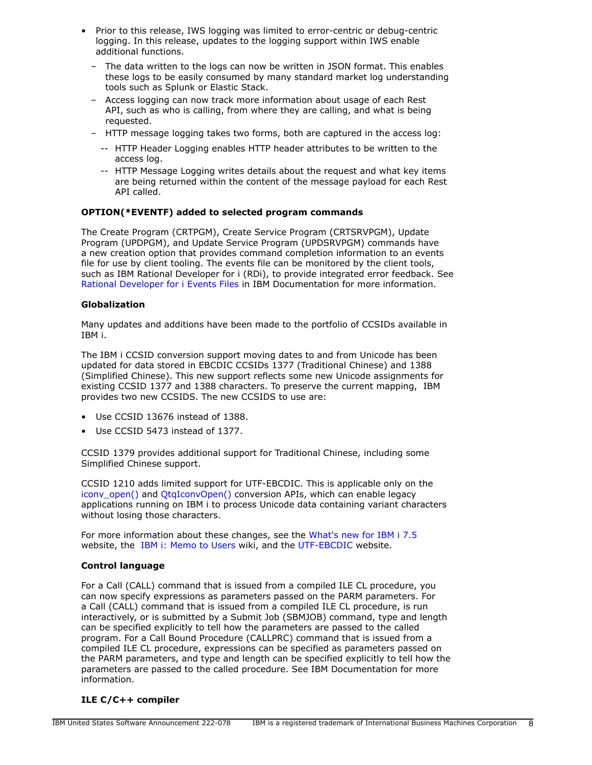- Prior to this release, IWS logging was limited to error-centric or debug-centric logging. In this release, updates to the logging support within IWS enable additional functions.
	- The data written to the logs can now be written in JSON format. This enables these logs to be easily consumed by many standard market log understanding tools such as Splunk or Elastic Stack.
	- Access logging can now track more information about usage of each Rest API, such as who is calling, from where they are calling, and what is being requested.
	- HTTP message logging takes two forms, both are captured in the access log:
		- -- HTTP Header Logging enables HTTP header attributes to be written to the access log.
		- -- HTTP Message Logging writes details about the request and what key items are being returned within the content of the message payload for each Rest API called.

# **OPTION(\*EVENTF) added to selected program commands**

The Create Program (CRTPGM), Create Service Program (CRTSRVPGM), Update Program (UPDPGM), and Update Service Program (UPDSRVPGM) commands have a new creation option that provides command completion information to an events file for use by client tooling. The events file can be monitored by the client tools, such as IBM Rational Developer for i (RDi), to provide integrated error feedback. See [Rational Developer for i Events Files](https://www.ibm.com/docs/en/rdfi/9.6.0?topic=reference-events-file-format) in IBM Documentation for more information.

### **Globalization**

Many updates and additions have been made to the portfolio of CCSIDs available in IBM i.

The IBM i CCSID conversion support moving dates to and from Unicode has been updated for data stored in EBCDIC CCSIDs 1377 (Traditional Chinese) and 1388 (Simplified Chinese). This new support reflects some new Unicode assignments for existing CCSID 1377 and 1388 characters. To preserve the current mapping, IBM provides two new CCSIDS. The new CCSIDS to use are:

- Use CCSID 13676 instead of 1388.
- Use CCSID 5473 instead of 1377.

CCSID 1379 provides additional support for Traditional Chinese, including some Simplified Chinese support.

CCSID 1210 adds limited support for UTF-EBCDIC. This is applicable only on the [iconv\\_open\(\)](https://www.ibm.com/docs/en/i/7.5?topic=ssw_ibm_i_75/apis/iconvopn.htm) and [QtqIconvOpen\(\)](https://www.ibm.com/docs/en/i/7.5?topic=ssw_ibm_i_75/apis/QTQICONV.htm) conversion APIs, which can enable legacy applications running on IBM i to process Unicode data containing variant characters without losing those characters.

For more information about these changes, see the [What's new for IBM i 7.5](https://www.ibm.com/docs/en/i/7.5?topic=globalization-whats-new-i-75) website, the [IBM i: Memo to Users](https://www.ibm.com/docs/en/i/7.5?topic=documentation-memo-users) wiki, and the [UTF-EBCDIC](https://www.ibm.com/docs/en/i/7.5?topic=unicode-utf-ebcdic) website.

### **Control language**

For a Call (CALL) command that is issued from a compiled ILE CL procedure, you can now specify expressions as parameters passed on the PARM parameters. For a Call (CALL) command that is issued from a compiled ILE CL procedure, is run interactively, or is submitted by a Submit Job (SBMJOB) command, type and length can be specified explicitly to tell how the parameters are passed to the called program. For a Call Bound Procedure (CALLPRC) command that is issued from a compiled ILE CL procedure, expressions can be specified as parameters passed on the PARM parameters, and type and length can be specified explicitly to tell how the parameters are passed to the called procedure. See IBM Documentation for more information.

### **ILE C/C++ compiler**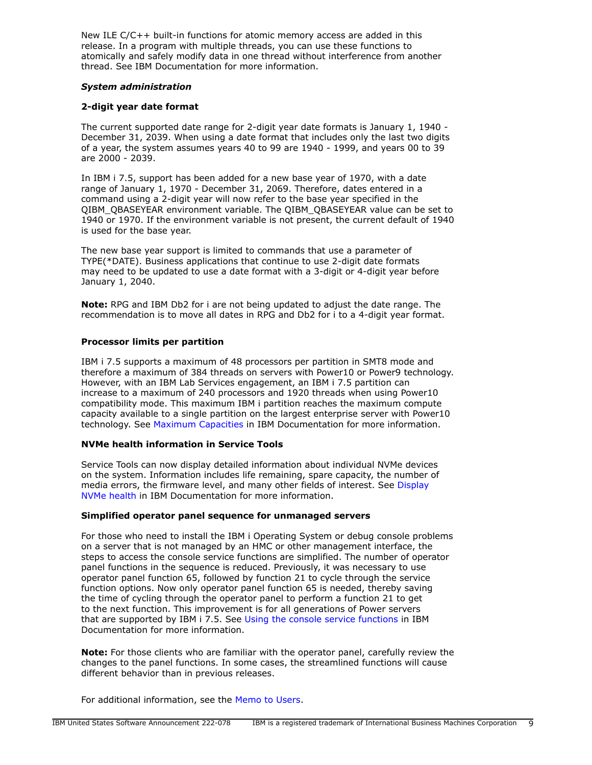New ILE C/C++ built-in functions for atomic memory access are added in this release. In a program with multiple threads, you can use these functions to atomically and safely modify data in one thread without interference from another thread. See IBM Documentation for more information.

### *System administration*

### **2-digit year date format**

The current supported date range for 2-digit year date formats is January 1, 1940 - December 31, 2039. When using a date format that includes only the last two digits of a year, the system assumes years 40 to 99 are 1940 - 1999, and years 00 to 39 are 2000 - 2039.

In IBM i 7.5, support has been added for a new base year of 1970, with a date range of January 1, 1970 - December 31, 2069. Therefore, dates entered in a command using a 2-digit year will now refer to the base year specified in the QIBM\_QBASEYEAR environment variable. The QIBM\_QBASEYEAR value can be set to 1940 or 1970. If the environment variable is not present, the current default of 1940 is used for the base year.

The new base year support is limited to commands that use a parameter of TYPE(\*DATE). Business applications that continue to use 2-digit date formats may need to be updated to use a date format with a 3-digit or 4-digit year before January 1, 2040.

**Note:** RPG and IBM Db2 for i are not being updated to adjust the date range. The recommendation is to move all dates in RPG and Db2 for i to a 4-digit year format.

### **Processor limits per partition**

IBM i 7.5 supports a maximum of 48 processors per partition in SMT8 mode and therefore a maximum of 384 threads on servers with Power10 or Power9 technology. However, with an IBM Lab Services engagement, an IBM i 7.5 partition can increase to a maximum of 240 processors and 1920 threads when using Power10 compatibility mode. This maximum IBM i partition reaches the maximum compute capacity available to a single partition on the largest enterprise server with Power10 technology. See [Maximum Capacities](https://www.ibm.com/docs/en/i/7.5?topic=availability-maximum-capacities) in IBM Documentation for more information.

### **NVMe health information in Service Tools**

Service Tools can now display detailed information about individual NVMe devices on the system. Information includes life remaining, spare capacity, the number of media errors, the firmware level, and many other fields of interest. See [Display](https://www.ibm.com/docs/en/i/7.5?topic=nvme-display-health) [NVMe health](https://www.ibm.com/docs/en/i/7.5?topic=nvme-display-health) in IBM Documentation for more information.

### **Simplified operator panel sequence for unmanaged servers**

For those who need to install the IBM i Operating System or debug console problems on a server that is not managed by an HMC or other management interface, the steps to access the console service functions are simplified. The number of operator panel functions in the sequence is reduced. Previously, it was necessary to use operator panel function 65, followed by function 21 to cycle through the service function options. Now only operator panel function 65 is needed, thereby saving the time of cycling through the operator panel to perform a function 21 to get to the next function. This improvement is for all generations of Power servers that are supported by IBM i 7.5. See [Using the console service functions](https://www.ibm.com/docs/en/i/7.5?topic=network-using-console-service-functions) in IBM Documentation for more information.

**Note:** For those clients who are familiar with the operator panel, carefully review the changes to the panel functions. In some cases, the streamlined functions will cause different behavior than in previous releases.

For additional information, see the [Memo to Users.](https://www.ibm.com/docs/en/i/7.5?topic=documentation-memo-users)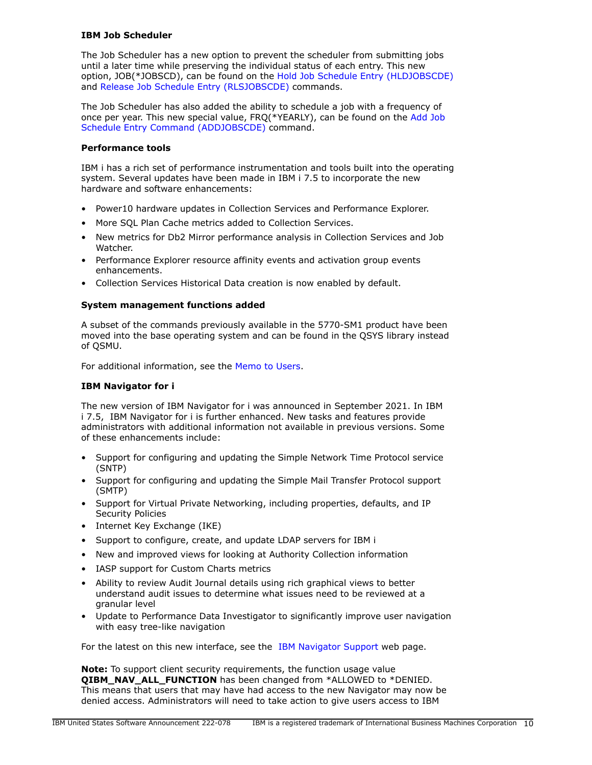### **IBM Job Scheduler**

The Job Scheduler has a new option to prevent the scheduler from submitting jobs until a later time while preserving the individual status of each entry. This new option, JOB(\*JOBSCD), can be found on the [Hold Job Schedule Entry \(HLDJOBSCDE\)](https://www.ibm.com/docs/api/v1/content/ssw_ibm_i_75/cl/hldjobscde.htm) and [Release Job Schedule Entry \(RLSJOBSCDE\)](https://www.ibm.com/docs/api/v1/content/ssw_ibm_i_75/cl/rlsjobscde.htm) commands.

The Job Scheduler has also added the ability to schedule a job with a frequency of once per year. This new special value, FRQ(\*YEARLY), can be found on the [Add Job](https://www.ibm.com/docs/api/v1/content/ssw_ibm_i_75/cl/addjobscde.htm) [Schedule Entry Command \(ADDJOBSCDE\)](https://www.ibm.com/docs/api/v1/content/ssw_ibm_i_75/cl/addjobscde.htm) command.

### **Performance tools**

IBM i has a rich set of performance instrumentation and tools built into the operating system. Several updates have been made in IBM i 7.5 to incorporate the new hardware and software enhancements:

- Power10 hardware updates in Collection Services and Performance Explorer.
- More SQL Plan Cache metrics added to Collection Services.
- New metrics for Db2 Mirror performance analysis in Collection Services and Job Watcher.
- Performance Explorer resource affinity events and activation group events enhancements.
- Collection Services Historical Data creation is now enabled by default.

### **System management functions added**

A subset of the commands previously available in the 5770-SM1 product have been moved into the base operating system and can be found in the QSYS library instead of QSMU.

For additional information, see the [Memo to Users.](https://www.ibm.com/docs/en/i/7.5?topic=documentation-memo-users)

### **IBM Navigator for i**

The new version of IBM Navigator for i was announced in September 2021. In IBM i 7.5, IBM Navigator for i is further enhanced. New tasks and features provide administrators with additional information not available in previous versions. Some of these enhancements include:

- Support for configuring and updating the Simple Network Time Protocol service (SNTP)
- Support for configuring and updating the Simple Mail Transfer Protocol support (SMTP)
- Support for Virtual Private Networking, including properties, defaults, and IP Security Policies
- Internet Key Exchange (IKE)
- Support to configure, create, and update LDAP servers for IBM i
- New and improved views for looking at Authority Collection information
- IASP support for Custom Charts metrics
- Ability to review Audit Journal details using rich graphical views to better understand audit issues to determine what issues need to be reviewed at a granular level
- Update to Performance Data Investigator to significantly improve user navigation with easy tree-like navigation

For the latest on this new interface, see the [IBM Navigator Support](https://www.ibm.com/support/pages/node/6483299) web page.

**Note:** To support client security requirements, the function usage value **QIBM\_NAV\_ALL\_FUNCTION** has been changed from \*ALLOWED to \*DENIED. This means that users that may have had access to the new Navigator may now be denied access. Administrators will need to take action to give users access to IBM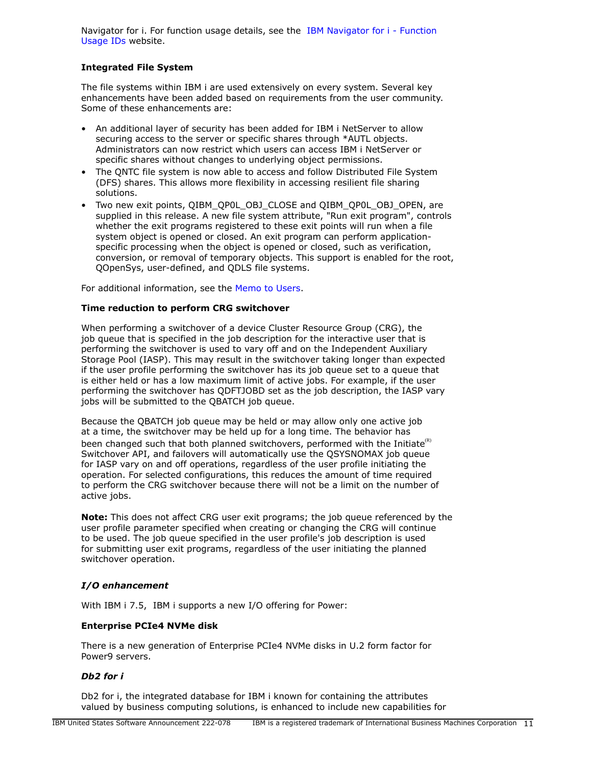Navigator for i. For function usage details, see the [IBM Navigator for i - Function](https://www.ibm.com/support/pages/node/6485853) [Usage IDs](https://www.ibm.com/support/pages/node/6485853) website.

### **Integrated File System**

The file systems within IBM i are used extensively on every system. Several key enhancements have been added based on requirements from the user community. Some of these enhancements are:

- An additional layer of security has been added for IBM i NetServer to allow securing access to the server or specific shares through \*AUTL objects. Administrators can now restrict which users can access IBM i NetServer or specific shares without changes to underlying object permissions.
- The QNTC file system is now able to access and follow Distributed File System (DFS) shares. This allows more flexibility in accessing resilient file sharing solutions.
- Two new exit points, QIBM\_QP0L\_OBJ\_CLOSE and QIBM\_QP0L\_OBJ\_OPEN, are supplied in this release. A new file system attribute, "Run exit program", controls whether the exit programs registered to these exit points will run when a file system object is opened or closed. An exit program can perform applicationspecific processing when the object is opened or closed, such as verification, conversion, or removal of temporary objects. This support is enabled for the root, QOpenSys, user-defined, and QDLS file systems.

For additional information, see the [Memo to Users.](https://www.ibm.com/docs/en/i/7.5?topic=documentation-memo-users)

### **Time reduction to perform CRG switchover**

When performing a switchover of a device Cluster Resource Group (CRG), the job queue that is specified in the job description for the interactive user that is performing the switchover is used to vary off and on the Independent Auxiliary Storage Pool (IASP). This may result in the switchover taking longer than expected if the user profile performing the switchover has its job queue set to a queue that is either held or has a low maximum limit of active jobs. For example, if the user performing the switchover has QDFTJOBD set as the job description, the IASP vary jobs will be submitted to the QBATCH job queue.

Because the QBATCH job queue may be held or may allow only one active job at a time, the switchover may be held up for a long time. The behavior has been changed such that both planned switchovers, performed with the Initiate $\mathbf{R}^{(R)}$ Switchover API, and failovers will automatically use the QSYSNOMAX job queue for IASP vary on and off operations, regardless of the user profile initiating the operation. For selected configurations, this reduces the amount of time required to perform the CRG switchover because there will not be a limit on the number of active jobs.

**Note:** This does not affect CRG user exit programs; the job queue referenced by the user profile parameter specified when creating or changing the CRG will continue to be used. The job queue specified in the user profile's job description is used for submitting user exit programs, regardless of the user initiating the planned switchover operation.

### *I/O enhancement*

With IBM i 7.5, IBM i supports a new I/O offering for Power:

### **Enterprise PCIe4 NVMe disk**

There is a new generation of Enterprise PCIe4 NVMe disks in U.2 form factor for Power9 servers.

### *Db2 for i*

Db2 for i, the integrated database for IBM i known for containing the attributes valued by business computing solutions, is enhanced to include new capabilities for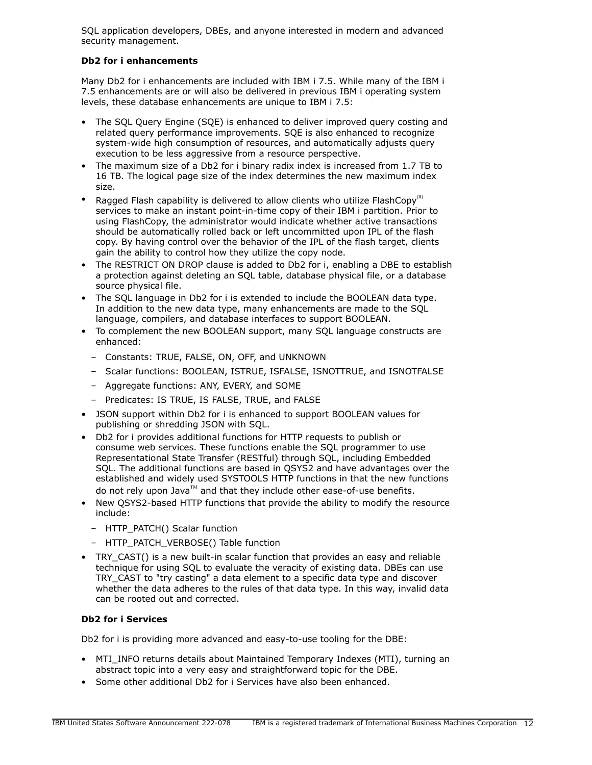SQL application developers, DBEs, and anyone interested in modern and advanced security management.

# **Db2 for i enhancements**

Many Db2 for i enhancements are included with IBM i 7.5. While many of the IBM i 7.5 enhancements are or will also be delivered in previous IBM i operating system levels, these database enhancements are unique to IBM i 7.5:

- The SQL Query Engine (SQE) is enhanced to deliver improved query costing and related query performance improvements. SQE is also enhanced to recognize system-wide high consumption of resources, and automatically adjusts query execution to be less aggressive from a resource perspective.
- The maximum size of a Db2 for i binary radix index is increased from 1.7 TB to 16 TB. The logical page size of the index determines the new maximum index size.
- Ragged Flash capability is delivered to allow clients who utilize FlashCopy<sup>(R)</sup> services to make an instant point-in-time copy of their IBM i partition. Prior to using FlashCopy, the administrator would indicate whether active transactions should be automatically rolled back or left uncommitted upon IPL of the flash copy. By having control over the behavior of the IPL of the flash target, clients gain the ability to control how they utilize the copy node.
- The RESTRICT ON DROP clause is added to Db2 for i, enabling a DBE to establish a protection against deleting an SQL table, database physical file, or a database source physical file.
- The SQL language in Db2 for i is extended to include the BOOLEAN data type. In addition to the new data type, many enhancements are made to the SQL language, compilers, and database interfaces to support BOOLEAN.
- To complement the new BOOLEAN support, many SQL language constructs are enhanced:
	- Constants: TRUE, FALSE, ON, OFF, and UNKNOWN
	- Scalar functions: BOOLEAN, ISTRUE, ISFALSE, ISNOTTRUE, and ISNOTFALSE
	- Aggregate functions: ANY, EVERY, and SOME
	- Predicates: IS TRUE, IS FALSE, TRUE, and FALSE
- JSON support within Db2 for i is enhanced to support BOOLEAN values for publishing or shredding JSON with SQL.
- Db2 for i provides additional functions for HTTP requests to publish or consume web services. These functions enable the SQL programmer to use Representational State Transfer (RESTful) through SQL, including Embedded SQL. The additional functions are based in QSYS2 and have advantages over the established and widely used SYSTOOLS HTTP functions in that the new functions do not rely upon Java™ and that they include other ease-of-use benefits.
- New QSYS2-based HTTP functions that provide the ability to modify the resource include:
	- HTTP\_PATCH() Scalar function
	- HTTP\_PATCH\_VERBOSE() Table function
- TRY\_CAST() is a new built-in scalar function that provides an easy and reliable technique for using SQL to evaluate the veracity of existing data. DBEs can use TRY\_CAST to "try casting" a data element to a specific data type and discover whether the data adheres to the rules of that data type. In this way, invalid data can be rooted out and corrected.

### **Db2 for i Services**

Db2 for i is providing more advanced and easy-to-use tooling for the DBE:

- MTI\_INFO returns details about Maintained Temporary Indexes (MTI), turning an abstract topic into a very easy and straightforward topic for the DBE.
- Some other additional Db2 for i Services have also been enhanced.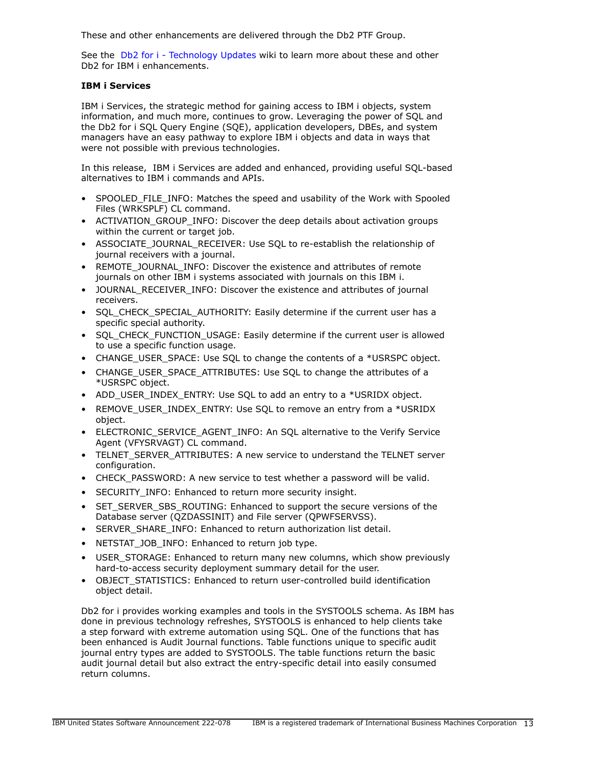These and other enhancements are delivered through the Db2 PTF Group.

See the [Db2 for i - Technology Updates](http://www.ibm.com/ibmi/techupdates/db2) wiki to learn more about these and other Db2 for IBM i enhancements.

### **IBM i Services**

IBM i Services, the strategic method for gaining access to IBM i objects, system information, and much more, continues to grow. Leveraging the power of SQL and the Db2 for i SQL Query Engine (SQE), application developers, DBEs, and system managers have an easy pathway to explore IBM i objects and data in ways that were not possible with previous technologies.

In this release, IBM i Services are added and enhanced, providing useful SQL-based alternatives to IBM i commands and APIs.

- SPOOLED FILE INFO: Matches the speed and usability of the Work with Spooled Files (WRKSPLF) CL command.
- ACTIVATION\_GROUP\_INFO: Discover the deep details about activation groups within the current or target job.
- ASSOCIATE\_JOURNAL\_RECEIVER: Use SQL to re-establish the relationship of journal receivers with a journal.
- REMOTE\_JOURNAL\_INFO: Discover the existence and attributes of remote journals on other IBM i systems associated with journals on this IBM i.
- JOURNAL\_RECEIVER\_INFO: Discover the existence and attributes of journal receivers.
- SQL\_CHECK\_SPECIAL\_AUTHORITY: Easily determine if the current user has a specific special authority.
- SQL\_CHECK\_FUNCTION\_USAGE: Easily determine if the current user is allowed to use a specific function usage.
- CHANGE\_USER\_SPACE: Use SQL to change the contents of a \*USRSPC object.
- CHANGE\_USER\_SPACE\_ATTRIBUTES: Use SOL to change the attributes of a \*USRSPC object.
- ADD\_USER\_INDEX\_ENTRY: Use SQL to add an entry to a \*USRIDX object.
- REMOVE\_USER\_INDEX\_ENTRY: Use SOL to remove an entry from a \*USRIDX object.
- ELECTRONIC SERVICE AGENT INFO: An SQL alternative to the Verify Service Agent (VFYSRVAGT) CL command.
- TELNET SERVER ATTRIBUTES: A new service to understand the TELNET server configuration.
- CHECK PASSWORD: A new service to test whether a password will be valid.
- SECURITY\_INFO: Enhanced to return more security insight.
- SET\_SERVER\_SBS\_ROUTING: Enhanced to support the secure versions of the Database server (QZDASSINIT) and File server (QPWFSERVSS).
- SERVER SHARE INFO: Enhanced to return authorization list detail.
- NETSTAT\_JOB\_INFO: Enhanced to return job type.
- USER\_STORAGE: Enhanced to return many new columns, which show previously hard-to-access security deployment summary detail for the user.
- OBJECT STATISTICS: Enhanced to return user-controlled build identification object detail.

Db2 for i provides working examples and tools in the SYSTOOLS schema. As IBM has done in previous technology refreshes, SYSTOOLS is enhanced to help clients take a step forward with extreme automation using SQL. One of the functions that has been enhanced is Audit Journal functions. Table functions unique to specific audit journal entry types are added to SYSTOOLS. The table functions return the basic audit journal detail but also extract the entry-specific detail into easily consumed return columns.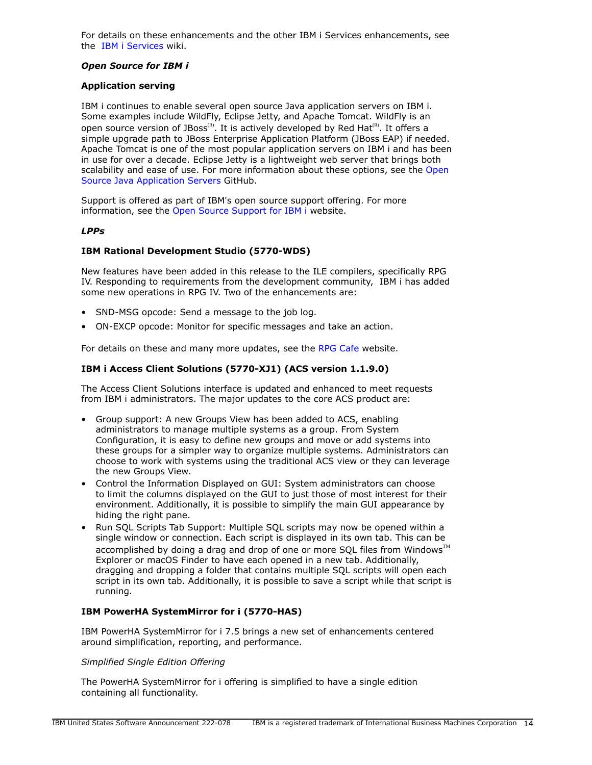For details on these enhancements and the other IBM i Services enhancements, see the [IBM i Services](http://ibm.biz/Db2foriServices) wiki.

### *Open Source for IBM i*

#### **Application serving**

IBM i continues to enable several open source Java application servers on IBM i. Some examples include WildFly, Eclipse Jetty, and Apache Tomcat. WildFly is an open source version of JBoss<sup>(R)</sup>. It is actively developed by Red Hat<sup>(R)</sup>. It offers a simple upgrade path to JBoss Enterprise Application Platform (JBoss EAP) if needed. Apache Tomcat is one of the most popular application servers on IBM i and has been in use for over a decade. Eclipse Jetty is a lightweight web server that brings both scalability and ease of use. For more information about these options, see the [Open](https://ibmi-oss-docs.readthedocs.io/en/latest/java/APP_SERVERS.html) [Source Java Application Servers](https://ibmi-oss-docs.readthedocs.io/en/latest/java/APP_SERVERS.html) GitHub.

Support is offered as part of IBM's open source support offering. For more information, see the [Open Source Support for IBM i](http://ibm.biz/ibmi-oss-support) website.

#### *LPPs*

#### **IBM Rational Development Studio (5770-WDS)**

New features have been added in this release to the ILE compilers, specifically RPG IV. Responding to requirements from the development community, IBM i has added some new operations in RPG IV. Two of the enhancements are:

- SND-MSG opcode: Send a message to the job log.
- ON-EXCP opcode: Monitor for specific messages and take an action.

For details on these and many more updates, see the [RPG Cafe](https://ibm.biz/rpg_cafe) website.

### **IBM i Access Client Solutions (5770-XJ1) (ACS version 1.1.9.0)**

The Access Client Solutions interface is updated and enhanced to meet requests from IBM i administrators. The major updates to the core ACS product are:

- Group support: A new Groups View has been added to ACS, enabling administrators to manage multiple systems as a group. From System Configuration, it is easy to define new groups and move or add systems into these groups for a simpler way to organize multiple systems. Administrators can choose to work with systems using the traditional ACS view or they can leverage the new Groups View.
- Control the Information Displayed on GUI: System administrators can choose to limit the columns displayed on the GUI to just those of most interest for their environment. Additionally, it is possible to simplify the main GUI appearance by hiding the right pane.
- Run SQL Scripts Tab Support: Multiple SQL scripts may now be opened within a single window or connection. Each script is displayed in its own tab. This can be accomplished by doing a drag and drop of one or more SQL files from Windows $\mathbb{M}$ Explorer or macOS Finder to have each opened in a new tab. Additionally, dragging and dropping a folder that contains multiple SQL scripts will open each script in its own tab. Additionally, it is possible to save a script while that script is running.

### **IBM PowerHA SystemMirror for i (5770-HAS)**

IBM PowerHA SystemMirror for i 7.5 brings a new set of enhancements centered around simplification, reporting, and performance.

#### *Simplified Single Edition Offering*

The PowerHA SystemMirror for i offering is simplified to have a single edition containing all functionality.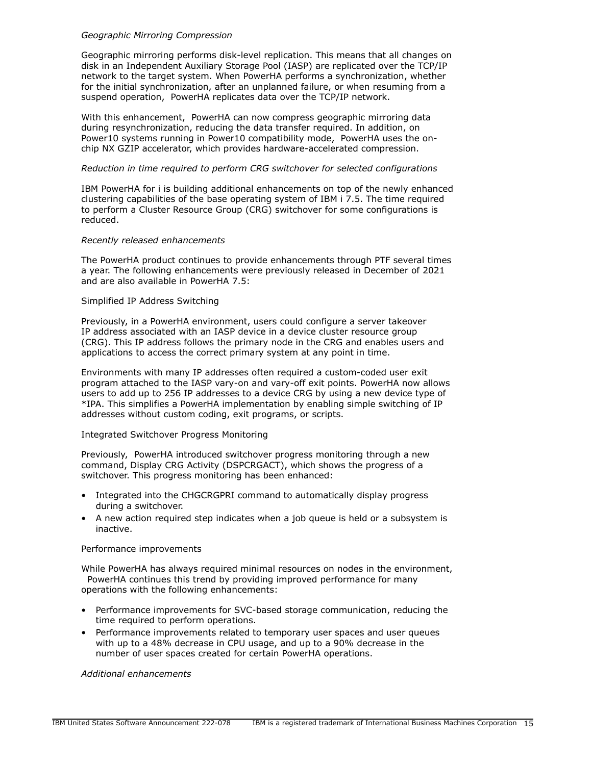### *Geographic Mirroring Compression*

Geographic mirroring performs disk-level replication. This means that all changes on disk in an Independent Auxiliary Storage Pool (IASP) are replicated over the TCP/IP network to the target system. When PowerHA performs a synchronization, whether for the initial synchronization, after an unplanned failure, or when resuming from a suspend operation, PowerHA replicates data over the TCP/IP network.

With this enhancement, PowerHA can now compress geographic mirroring data during resynchronization, reducing the data transfer required. In addition, on Power10 systems running in Power10 compatibility mode, PowerHA uses the onchip NX GZIP accelerator, which provides hardware-accelerated compression.

#### *Reduction in time required to perform CRG switchover for selected configurations*

IBM PowerHA for i is building additional enhancements on top of the newly enhanced clustering capabilities of the base operating system of IBM i 7.5. The time required to perform a Cluster Resource Group (CRG) switchover for some configurations is reduced.

#### *Recently released enhancements*

The PowerHA product continues to provide enhancements through PTF several times a year. The following enhancements were previously released in December of 2021 and are also available in PowerHA 7.5:

#### Simplified IP Address Switching

Previously, in a PowerHA environment, users could configure a server takeover IP address associated with an IASP device in a device cluster resource group (CRG). This IP address follows the primary node in the CRG and enables users and applications to access the correct primary system at any point in time.

Environments with many IP addresses often required a custom-coded user exit program attached to the IASP vary-on and vary-off exit points. PowerHA now allows users to add up to 256 IP addresses to a device CRG by using a new device type of \*IPA. This simplifies a PowerHA implementation by enabling simple switching of IP addresses without custom coding, exit programs, or scripts.

### Integrated Switchover Progress Monitoring

Previously, PowerHA introduced switchover progress monitoring through a new command, Display CRG Activity (DSPCRGACT), which shows the progress of a switchover. This progress monitoring has been enhanced:

- Integrated into the CHGCRGPRI command to automatically display progress during a switchover.
- A new action required step indicates when a job queue is held or a subsystem is inactive.

#### Performance improvements

While PowerHA has always required minimal resources on nodes in the environment, PowerHA continues this trend by providing improved performance for many operations with the following enhancements:

- Performance improvements for SVC-based storage communication, reducing the time required to perform operations.
- Performance improvements related to temporary user spaces and user queues with up to a 48% decrease in CPU usage, and up to a 90% decrease in the number of user spaces created for certain PowerHA operations.

#### *Additional enhancements*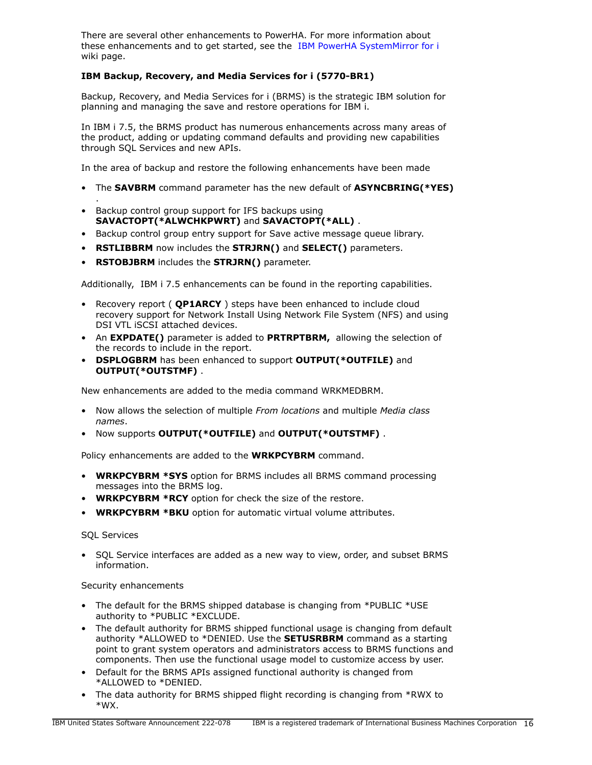There are several other enhancements to PowerHA. For more information about these enhancements and to get started, see the [IBM PowerHA SystemMirror for i](https://ibm.biz/ibmi-powerha) wiki page.

# **IBM Backup, Recovery, and Media Services for i (5770-BR1)**

Backup, Recovery, and Media Services for i (BRMS) is the strategic IBM solution for planning and managing the save and restore operations for IBM i.

In IBM i 7.5, the BRMS product has numerous enhancements across many areas of the product, adding or updating command defaults and providing new capabilities through SQL Services and new APIs.

In the area of backup and restore the following enhancements have been made

- The **SAVBRM** command parameter has the new default of **ASYNCBRING(\*YES)**
- Backup control group support for IFS backups using **SAVACTOPT(\*ALWCHKPWRT)** and **SAVACTOPT(\*ALL)** .
- Backup control group entry support for Save active message queue library.
- **RSTLIBBRM** now includes the **STRJRN()** and **SELECT()** parameters.
- **RSTOBJBRM** includes the **STRJRN()** parameter.

Additionally, IBM i 7.5 enhancements can be found in the reporting capabilities.

- Recovery report ( **QP1ARCY** ) steps have been enhanced to include cloud recovery support for Network Install Using Network File System (NFS) and using DSI VTL iSCSI attached devices.
- An **EXPDATE()** parameter is added to **PRTRPTBRM,** allowing the selection of the records to include in the report.
- **DSPLOGBRM** has been enhanced to support **OUTPUT(\*OUTFILE)** and **OUTPUT(\*OUTSTMF)** .

New enhancements are added to the media command WRKMEDBRM.

- Now allows the selection of multiple *From locations* and multiple *Media class names*.
- Now supports **OUTPUT(\*OUTFILE)** and **OUTPUT(\*OUTSTMF)** .

Policy enhancements are added to the **WRKPCYBRM** command.

- **WRKPCYBRM \*SYS** option for BRMS includes all BRMS command processing messages into the BRMS log.
- **WRKPCYBRM \*RCY** option for check the size of the restore.
- **WRKPCYBRM \*BKU** option for automatic virtual volume attributes.

### SQL Services

.

• SQL Service interfaces are added as a new way to view, order, and subset BRMS information.

### Security enhancements

- The default for the BRMS shipped database is changing from \*PUBLIC \*USE authority to \*PUBLIC \*EXCLUDE.
- The default authority for BRMS shipped functional usage is changing from default authority \*ALLOWED to \*DENIED. Use the **SETUSRBRM** command as a starting point to grant system operators and administrators access to BRMS functions and components. Then use the functional usage model to customize access by user.
- Default for the BRMS APIs assigned functional authority is changed from \*ALLOWED to \*DENIED.
- The data authority for BRMS shipped flight recording is changing from \*RWX to \*WX.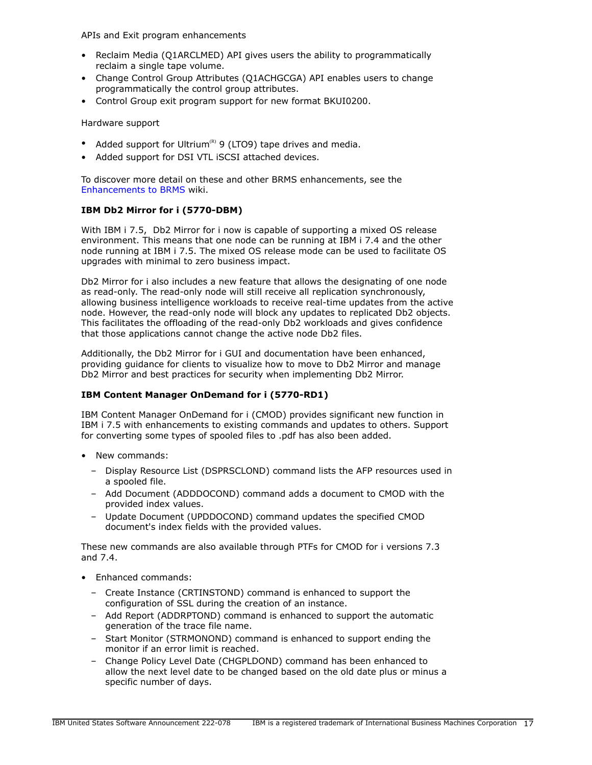APIs and Exit program enhancements

- Reclaim Media (Q1ARCLMED) API gives users the ability to programmatically reclaim a single tape volume.
- Change Control Group Attributes (Q1ACHGCGA) API enables users to change programmatically the control group attributes.
- Control Group exit program support for new format BKUI0200.

Hardware support

- Added support for Ultrium<sup>(R)</sup> 9 (LTO9) tape drives and media.
- Added support for DSI VTL iSCSI attached devices.

To discover more detail on these and other BRMS enhancements, see the [Enhancements to BRMS](https://helpsystemswiki.atlassian.net/wiki/spaces/IWT/pages/165642446/Enhancements+to+BRMS) wiki.

# **IBM Db2 Mirror for i (5770-DBM)**

With IBM i 7.5, Db2 Mirror for i now is capable of supporting a mixed OS release environment. This means that one node can be running at IBM i 7.4 and the other node running at IBM i 7.5. The mixed OS release mode can be used to facilitate OS upgrades with minimal to zero business impact.

Db2 Mirror for i also includes a new feature that allows the designating of one node as read-only. The read-only node will still receive all replication synchronously, allowing business intelligence workloads to receive real-time updates from the active node. However, the read-only node will block any updates to replicated Db2 objects. This facilitates the offloading of the read-only Db2 workloads and gives confidence that those applications cannot change the active node Db2 files.

Additionally, the Db2 Mirror for i GUI and documentation have been enhanced, providing guidance for clients to visualize how to move to Db2 Mirror and manage Db2 Mirror and best practices for security when implementing Db2 Mirror.

### **IBM Content Manager OnDemand for i (5770-RD1)**

IBM Content Manager OnDemand for i (CMOD) provides significant new function in IBM i 7.5 with enhancements to existing commands and updates to others. Support for converting some types of spooled files to .pdf has also been added.

- New commands:
	- Display Resource List (DSPRSCLOND) command lists the AFP resources used in a spooled file.
	- Add Document (ADDDOCOND) command adds a document to CMOD with the provided index values.
	- Update Document (UPDDOCOND) command updates the specified CMOD document's index fields with the provided values.

These new commands are also available through PTFs for CMOD for i versions 7.3 and 7.4.

- Enhanced commands:
	- Create Instance (CRTINSTOND) command is enhanced to support the configuration of SSL during the creation of an instance.
	- Add Report (ADDRPTOND) command is enhanced to support the automatic generation of the trace file name.
	- Start Monitor (STRMONOND) command is enhanced to support ending the monitor if an error limit is reached.
	- Change Policy Level Date (CHGPLDOND) command has been enhanced to allow the next level date to be changed based on the old date plus or minus a specific number of days.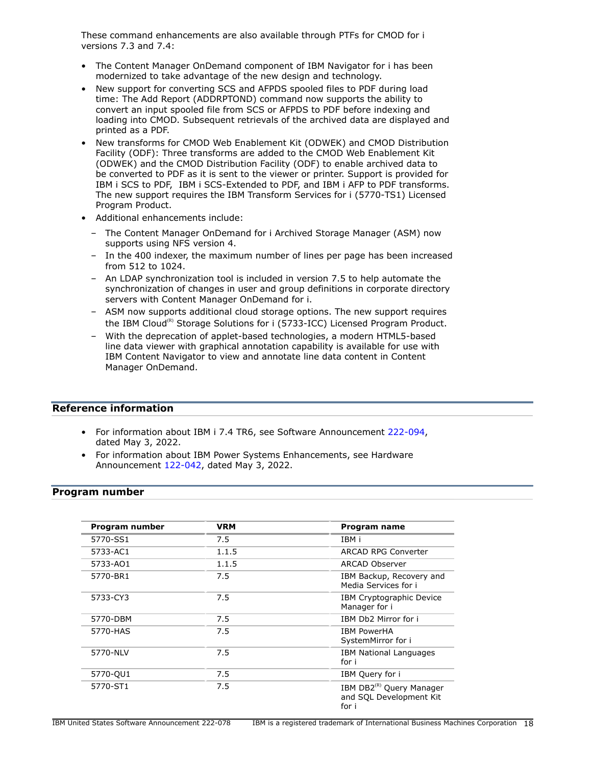These command enhancements are also available through PTFs for CMOD for i versions 7.3 and 7.4:

- The Content Manager OnDemand component of IBM Navigator for i has been modernized to take advantage of the new design and technology.
- New support for converting SCS and AFPDS spooled files to PDF during load time: The Add Report (ADDRPTOND) command now supports the ability to convert an input spooled file from SCS or AFPDS to PDF before indexing and loading into CMOD. Subsequent retrievals of the archived data are displayed and printed as a PDF.
- New transforms for CMOD Web Enablement Kit (ODWEK) and CMOD Distribution Facility (ODF): Three transforms are added to the CMOD Web Enablement Kit (ODWEK) and the CMOD Distribution Facility (ODF) to enable archived data to be converted to PDF as it is sent to the viewer or printer. Support is provided for IBM i SCS to PDF, IBM i SCS-Extended to PDF, and IBM i AFP to PDF transforms. The new support requires the IBM Transform Services for i (5770-TS1) Licensed Program Product.
- Additional enhancements include:
	- The Content Manager OnDemand for i Archived Storage Manager (ASM) now supports using NFS version 4.
	- In the 400 indexer, the maximum number of lines per page has been increased from 512 to 1024.
	- An LDAP synchronization tool is included in version 7.5 to help automate the synchronization of changes in user and group definitions in corporate directory servers with Content Manager OnDemand for i.
	- ASM now supports additional cloud storage options. The new support requires the IBM Cloud<sup>(R)</sup> Storage Solutions for i (5733-ICC) Licensed Program Product.
	- With the deprecation of applet-based technologies, a modern HTML5-based line data viewer with graphical annotation capability is available for use with IBM Content Navigator to view and annotate line data content in Content Manager OnDemand.

# **Reference information**

- For information about IBM i 7.4 TR6, see Software Announcement [222-094,](http://www.ibm.com/common/ssi/cgi-bin/ssialias?infotype=an&subtype=ca&appname=gpateam&supplier=897&letternum=ENUS222-094) dated May 3, 2022.
- For information about IBM Power Systems Enhancements, see Hardware Announcement [122-042](http://www.ibm.com/common/ssi/cgi-bin/ssialias?infotype=an&subtype=ca&appname=gpateam&supplier=897&letternum=ENUS122-042), dated May 3, 2022.

### <span id="page-17-0"></span>**Program number**

| Program number | VRM   | Program name                                                             |
|----------------|-------|--------------------------------------------------------------------------|
| 5770-SS1       | 7.5   | IBM i                                                                    |
| 5733-AC1       | 1.1.5 | <b>ARCAD RPG Converter</b>                                               |
| 5733-AO1       | 1.1.5 | ARCAD Observer                                                           |
| 5770-BR1       | 7.5   | IBM Backup, Recovery and<br>Media Services for i                         |
| 5733-CY3       | 7.5   | IBM Cryptographic Device<br>Manager for i                                |
| 5770-DBM       | 7.5   | IBM Db2 Mirror for i                                                     |
| 5770-HAS       | 7.5   | <b>IBM PowerHA</b><br>SystemMirror for i                                 |
| 5770-NLV       | 7.5   | <b>IBM National Languages</b><br>for i                                   |
| 5770-QU1       | 7.5   | IBM Query for i                                                          |
| 5770-ST1       | 7.5   | IBM DB2 <sup>(R)</sup> Query Manager<br>and SQL Development Kit<br>for i |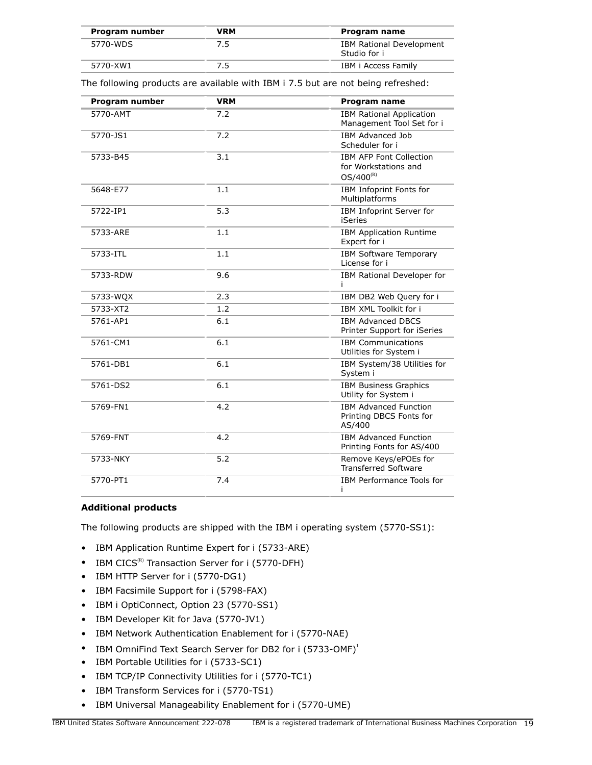| Program number | VRM | Program name                                    |
|----------------|-----|-------------------------------------------------|
| 5770-WDS       | 7.5 | <b>IBM Rational Development</b><br>Studio for i |
| 5770-XW1       |     | IBM i Access Family                             |

The following products are available with IBM i 7.5 but are not being refreshed:

| Program number | <b>VRM</b> | Program name                                                             |
|----------------|------------|--------------------------------------------------------------------------|
| 5770-AMT       | 7.2        | <b>IBM Rational Application</b><br>Management Tool Set for i             |
| 5770-JS1       | 7.2        | <b>IBM Advanced Job</b><br>Scheduler for i                               |
| 5733-B45       | 3.1        | <b>IBM AFP Font Collection</b><br>for Workstations and<br>$OS/400^{(R)}$ |
| 5648-E77       | 1.1        | IBM Infoprint Fonts for<br>Multiplatforms                                |
| 5722-IP1       | 5.3        | IBM Infoprint Server for<br><b>iSeries</b>                               |
| 5733-ARE       | 1.1        | <b>IBM Application Runtime</b><br>Expert for i                           |
| 5733-ITL       | 1.1        | <b>IBM Software Temporary</b><br>License for i                           |
| 5733-RDW       | 9.6        | IBM Rational Developer for                                               |
| 5733-WQX       | 2.3        | IBM DB2 Web Query for i                                                  |
| 5733-XT2       | 1.2        | IBM XML Toolkit for i                                                    |
| 5761-AP1       | 6.1        | <b>IBM Advanced DBCS</b><br>Printer Support for iSeries                  |
| 5761-CM1       | 6.1        | <b>IBM Communications</b><br>Utilities for System i                      |
| 5761-DB1       | 6.1        | IBM System/38 Utilities for<br>System i                                  |
| 5761-DS2       | 6.1        | <b>IBM Business Graphics</b><br>Utility for System i                     |
| 5769-FN1       | 4.2        | <b>IBM Advanced Function</b><br>Printing DBCS Fonts for<br>AS/400        |
| 5769-FNT       | 4.2        | <b>IBM Advanced Function</b><br>Printing Fonts for AS/400                |
| 5733-NKY       | 5.2        | Remove Keys/ePOEs for<br><b>Transferred Software</b>                     |
| 5770-PT1       | 7.4        | IBM Performance Tools for<br>Ť                                           |

### **Additional products**

The following products are shipped with the IBM i operating system (5770-SS1):

- IBM Application Runtime Expert for i (5733-ARE)
- IBM  $CICS^{(R)}$  Transaction Server for i (5770-DFH)
- IBM HTTP Server for i (5770-DG1)
- IBM Facsimile Support for i (5798-FAX)
- IBM i OptiConnect, Option 23 (5770-SS1)
- IBM Developer Kit for Java (5770-JV1)
- IBM Network Authentication Enablement for i (5770-NAE)
- IBM OmniFind Text Search Server for DB2 for i (5733-OMF)<sup>1</sup>
- IBM Portable Utilities for i (5733-SC1)
- IBM TCP/IP Connectivity Utilities for i (5770-TC1)
- IBM Transform Services for i (5770-TS1)
- IBM Universal Manageability Enablement for i (5770-UME)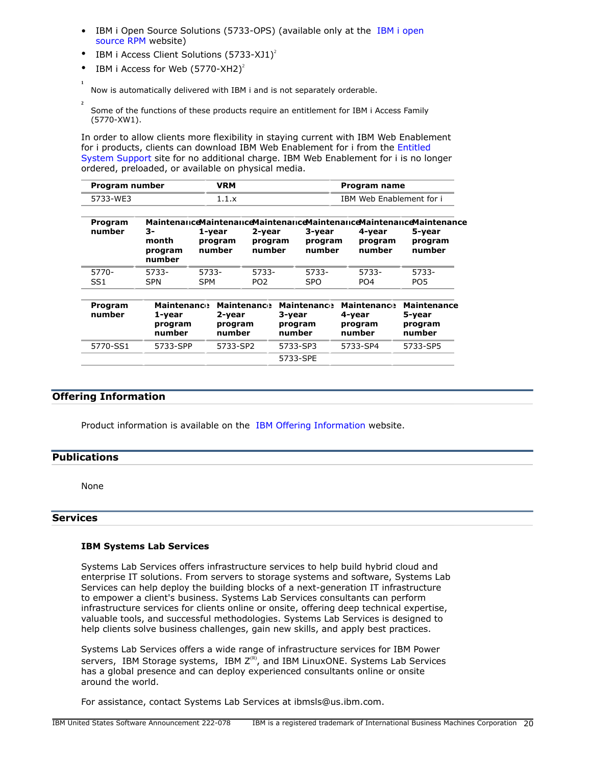- IBM i Open Source Solutions (5733-OPS) (available only at the [IBM i open](http://ibm.biz/ibmi-rpms) [source RPM](http://ibm.biz/ibmi-rpms) website)
- IBM i Access Client Solutions  $(5733-XJ1)^2$
- IBM i Access for Web  $(5770 XH2)^2$

Now is automatically delivered with IBM i and is not separately orderable.

**2** Some of the functions of these products require an entitlement for IBM i Access Family (5770-XW1).

In order to allow clients more flexibility in staying current with IBM Web Enablement for i products, clients can download IBM Web Enablement for i from the [Entitled](https://www.ibm.com/servers/eserver/ess/index.wss) [System Support](https://www.ibm.com/servers/eserver/ess/index.wss) site for no additional charge. IBM Web Enablement for i is no longer ordered, preloaded, or available on physical media.

| Program number | <b>/RM</b> | Program name             |
|----------------|------------|--------------------------|
| 5733-WF3       |            | IBM Web Enablement for i |

| Program<br>number        | 3-<br>month<br>program<br>number                  | 1-year              | program<br>number           | 2-year<br>program<br>number |        | 3-year<br>program<br>number             | 4-year<br>number                                  | program | Maintenance Maintenance Maintenance Maintenance Maintenance Maintenance<br>5-year<br>program<br>number |
|--------------------------|---------------------------------------------------|---------------------|-----------------------------|-----------------------------|--------|-----------------------------------------|---------------------------------------------------|---------|--------------------------------------------------------------------------------------------------------|
| 5770-<br>SS <sub>1</sub> | 5733-<br><b>SPN</b>                               | 5733-<br><b>SPM</b> |                             | 5733-<br>PO <sub>2</sub>    |        | 5733-<br><b>SPO</b>                     | 5733-<br>PO <sub>4</sub>                          |         | 5733-<br>PO <sub>5</sub>                                                                               |
| Program<br>number        | <b>Maintenance</b><br>1-year<br>program<br>number |                     | 2-year<br>program<br>number | <b>Maintenance</b>          | 3-year | <b>Maintenance</b><br>program<br>number | <b>Maintenance</b><br>4-year<br>program<br>number |         | <b>Maintenance</b><br>5-year<br>program<br>number                                                      |
| 5770-SS1                 | 5733-SPP                                          |                     | 5733-SP2                    |                             |        | 5733-SP3                                | 5733-SP4                                          |         | 5733-SP5                                                                                               |

5733-SPE

### **Offering Information**

Product information is available on the [IBM Offering Information](http://www.ibm.com/common/ssi) website.

### <span id="page-19-0"></span>**Publications**

**1**

None

### **Services**

### **IBM Systems Lab Services**

Systems Lab Services offers infrastructure services to help build hybrid cloud and enterprise IT solutions. From servers to storage systems and software, Systems Lab Services can help deploy the building blocks of a next-generation IT infrastructure to empower a client's business. Systems Lab Services consultants can perform infrastructure services for clients online or onsite, offering deep technical expertise, valuable tools, and successful methodologies. Systems Lab Services is designed to help clients solve business challenges, gain new skills, and apply best practices.

Systems Lab Services offers a wide range of infrastructure services for IBM Power servers, IBM Storage systems, IBM  $Z^{(R)}$ , and IBM LinuxONE. Systems Lab Services has a global presence and can deploy experienced consultants online or onsite around the world.

For assistance, contact Systems Lab Services at ibmsls@us.ibm.com.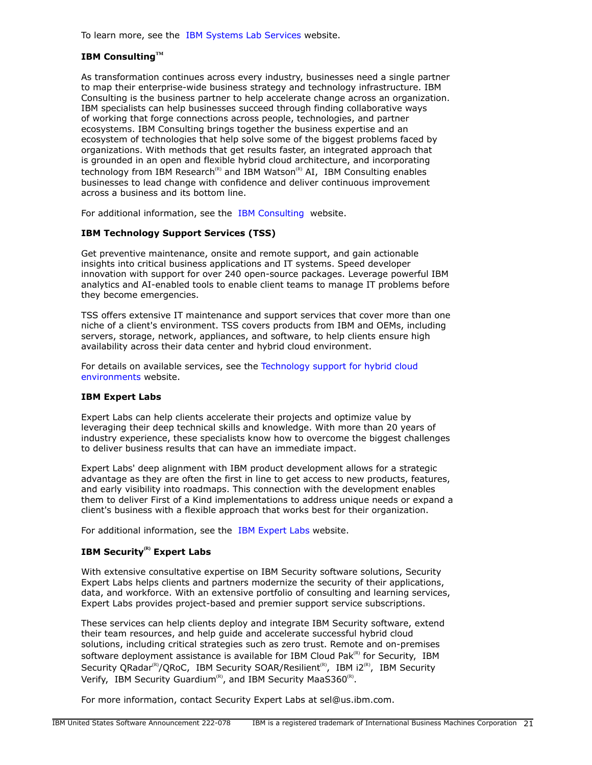To learn more, see the [IBM Systems Lab Services](https://www.ibm.com/it-infrastructure/services/lab-services) website.

### **IBM ConsultingTM**

As transformation continues across every industry, businesses need a single partner to map their enterprise-wide business strategy and technology infrastructure. IBM Consulting is the business partner to help accelerate change across an organization. IBM specialists can help businesses succeed through finding collaborative ways of working that forge connections across people, technologies, and partner ecosystems. IBM Consulting brings together the business expertise and an ecosystem of technologies that help solve some of the biggest problems faced by organizations. With methods that get results faster, an integrated approach that is grounded in an open and flexible hybrid cloud architecture, and incorporating technology from IBM Research<sup>(R)</sup> and IBM Watson<sup>(R)</sup> AI, IBM Consulting enables businesses to lead change with confidence and deliver continuous improvement across a business and its bottom line.

For additional information, see the [IBM Consulting](https://www.ibm.com/consulting) website.

### **IBM Technology Support Services (TSS)**

Get preventive maintenance, onsite and remote support, and gain actionable insights into critical business applications and IT systems. Speed developer innovation with support for over 240 open-source packages. Leverage powerful IBM analytics and AI-enabled tools to enable client teams to manage IT problems before they become emergencies.

TSS offers extensive IT maintenance and support services that cover more than one niche of a client's environment. TSS covers products from IBM and OEMs, including servers, storage, network, appliances, and software, to help clients ensure high availability across their data center and hybrid cloud environment.

For details on available services, see the [Technology support for hybrid cloud](https://www.ibm.com/services/technology-support) [environments](https://www.ibm.com/services/technology-support) website.

### **IBM Expert Labs**

Expert Labs can help clients accelerate their projects and optimize value by leveraging their deep technical skills and knowledge. With more than 20 years of industry experience, these specialists know how to overcome the biggest challenges to deliver business results that can have an immediate impact.

Expert Labs' deep alignment with IBM product development allows for a strategic advantage as they are often the first in line to get access to new products, features, and early visibility into roadmaps. This connection with the development enables them to deliver First of a Kind implementations to address unique needs or expand a client's business with a flexible approach that works best for their organization.

For additional information, see the [IBM Expert Labs](https://www.ibm.com/products/expertlabs) website.

### **IBM Security(R) Expert Labs**

With extensive consultative expertise on IBM Security software solutions, Security Expert Labs helps clients and partners modernize the security of their applications, data, and workforce. With an extensive portfolio of consulting and learning services, Expert Labs provides project-based and premier support service subscriptions.

These services can help clients deploy and integrate IBM Security software, extend their team resources, and help guide and accelerate successful hybrid cloud solutions, including critical strategies such as zero trust. Remote and on-premises software deployment assistance is available for IBM Cloud Pak $R$ <sup>(R)</sup> for Security, IBM Security QRadar<sup>(R)</sup>/QRoC, IBM Security SOAR/Resilient<sup>(R)</sup>, IBM i2<sup>(R)</sup>, IBM Security Verify, IBM Security Guardium<sup>(R)</sup>, and IBM Security MaaS360<sup>(R)</sup>.

For more information, contact Security Expert Labs at sel@us.ibm.com.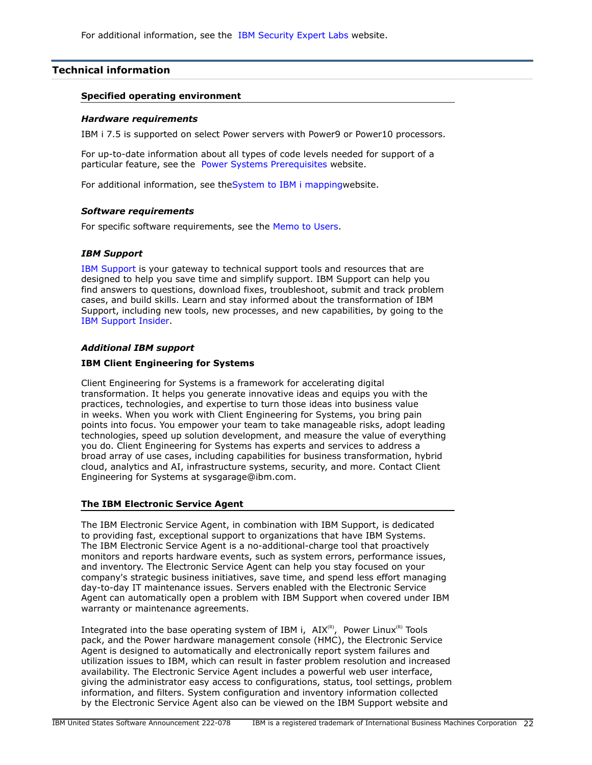### <span id="page-21-0"></span>**Technical information**

#### **Specified operating environment**

#### *Hardware requirements*

IBM i 7.5 is supported on select Power servers with Power9 or Power10 processors.

For up-to-date information about all types of code levels needed for support of a particular feature, see the [Power Systems Prerequisites](https://www-912.ibm.com/e_dir/eServerPrereq.nsf) website.

For additional information, see th[eSystem to IBM i mappingw](http://www-01.ibm.com/support/docview.wss?uid=ssm1platformibmi)ebsite.

#### *Software requirements*

For specific software requirements, see the [Memo to Users.](https://www.ibm.com/docs/en/i/7.5?topic=documentation-memo-users)

### *IBM Support*

[IBM Support](https://www.ibm.com/support) is your gateway to technical support tools and resources that are designed to help you save time and simplify support. IBM Support can help you find answers to questions, download fixes, troubleshoot, submit and track problem cases, and build skills. Learn and stay informed about the transformation of IBM Support, including new tools, new processes, and new capabilities, by going to the [IBM Support Insider](https://www.ibm.com/support/insider).

### *Additional IBM support*

### **IBM Client Engineering for Systems**

Client Engineering for Systems is a framework for accelerating digital transformation. It helps you generate innovative ideas and equips you with the practices, technologies, and expertise to turn those ideas into business value in weeks. When you work with Client Engineering for Systems, you bring pain points into focus. You empower your team to take manageable risks, adopt leading technologies, speed up solution development, and measure the value of everything you do. Client Engineering for Systems has experts and services to address a broad array of use cases, including capabilities for business transformation, hybrid cloud, analytics and AI, infrastructure systems, security, and more. Contact Client Engineering for Systems at sysgarage@ibm.com.

### **The IBM Electronic Service Agent**

The IBM Electronic Service Agent, in combination with IBM Support, is dedicated to providing fast, exceptional support to organizations that have IBM Systems. The IBM Electronic Service Agent is a no-additional-charge tool that proactively monitors and reports hardware events, such as system errors, performance issues, and inventory. The Electronic Service Agent can help you stay focused on your company's strategic business initiatives, save time, and spend less effort managing day-to-day IT maintenance issues. Servers enabled with the Electronic Service Agent can automatically open a problem with IBM Support when covered under IBM warranty or maintenance agreements.

Integrated into the base operating system of IBM i,  $AIX^{(R)}$ , Power Linux<sup>(R)</sup> Tools pack, and the Power hardware management console (HMC), the Electronic Service Agent is designed to automatically and electronically report system failures and utilization issues to IBM, which can result in faster problem resolution and increased availability. The Electronic Service Agent includes a powerful web user interface, giving the administrator easy access to configurations, status, tool settings, problem information, and filters. System configuration and inventory information collected by the Electronic Service Agent also can be viewed on the IBM Support website and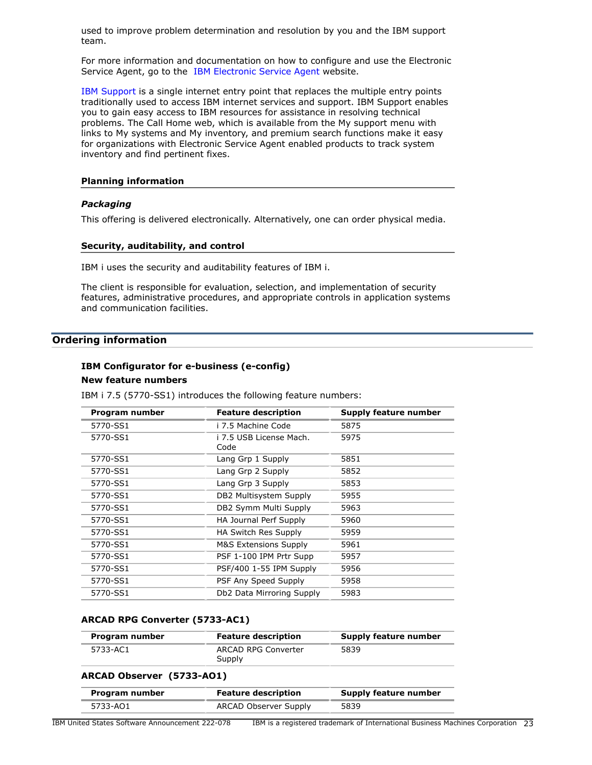used to improve problem determination and resolution by you and the IBM support team.

For more information and documentation on how to configure and use the Electronic Service Agent, go to the [IBM Electronic Service Agent](http://www.ibm.com/support/pages/esa) website.

[IBM Support](http://www.ibm.com/support) is a single internet entry point that replaces the multiple entry points traditionally used to access IBM internet services and support. IBM Support enables you to gain easy access to IBM resources for assistance in resolving technical problems. The Call Home web, which is available from the My support menu with links to My systems and My inventory, and premium search functions make it easy for organizations with Electronic Service Agent enabled products to track system inventory and find pertinent fixes.

#### **Planning information**

### *Packaging*

This offering is delivered electronically. Alternatively, one can order physical media.

#### **Security, auditability, and control**

IBM i uses the security and auditability features of IBM i.

The client is responsible for evaluation, selection, and implementation of security features, administrative procedures, and appropriate controls in application systems and communication facilities.

### <span id="page-22-0"></span>**Ordering information**

# **IBM Configurator for e-business (e-config)**

# **New feature numbers**

IBM i 7.5 (5770-SS1) introduces the following feature numbers:

| Program number | <b>Feature description</b>       | <b>Supply feature number</b> |
|----------------|----------------------------------|------------------------------|
| 5770-SS1       | i 7.5 Machine Code               | 5875                         |
| 5770-SS1       | i 7.5 USB License Mach.<br>Code  | 5975                         |
| 5770-SS1       | Lang Grp 1 Supply                | 5851                         |
| 5770-SS1       | Lang Grp 2 Supply                | 5852                         |
| 5770-SS1       | Lang Grp 3 Supply                | 5853                         |
| 5770-SS1       | DB2 Multisystem Supply           | 5955                         |
| 5770-SS1       | DB2 Symm Multi Supply            | 5963                         |
| 5770-SS1       | HA Journal Perf Supply           | 5960                         |
| 5770-SS1       | HA Switch Res Supply             | 5959                         |
| 5770-SS1       | <b>M&amp;S Extensions Supply</b> | 5961                         |
| 5770-SS1       | PSF 1-100 IPM Prtr Supp          | 5957                         |
| 5770-SS1       | PSF/400 1-55 IPM Supply          | 5956                         |
| 5770-SS1       | PSF Any Speed Supply             | 5958                         |
| 5770-SS1       | Db2 Data Mirroring Supply        | 5983                         |

### **ARCAD RPG Converter (5733-AC1)**

| Program number | <b>Feature description</b>    | Supply feature number |
|----------------|-------------------------------|-----------------------|
| 5733-AC1       | ARCAD RPG Converter<br>Supply | 5839                  |

#### **ARCAD Observer (5733-AO1)**

| Program number | <b>Feature description</b>   | Supply feature number |
|----------------|------------------------------|-----------------------|
| 5733-AO1       | <b>ARCAD Observer Supply</b> | 5839                  |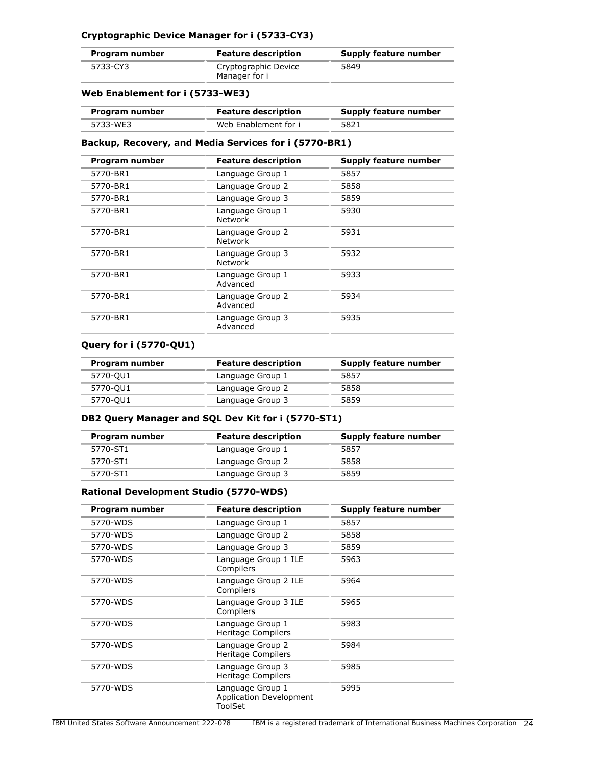# **Cryptographic Device Manager for i (5733-CY3)**

| Program number | <b>Feature description</b>            | Supply feature number |
|----------------|---------------------------------------|-----------------------|
| 5733-CY3       | Cryptographic Device<br>Manager for i | 5849                  |

### **Web Enablement for i (5733-WE3)**

| Program number | <b>Feature description</b> | Supply feature number |
|----------------|----------------------------|-----------------------|
| 5733-WE3       | Web Enablement for i       | 5821                  |

### **Backup, Recovery, and Media Services for i (5770-BR1)**

| Program number | <b>Feature description</b>         | Supply feature number |
|----------------|------------------------------------|-----------------------|
| 5770-BR1       | Language Group 1                   | 5857                  |
| 5770-BR1       | Language Group 2                   | 5858                  |
| 5770-BR1       | Language Group 3                   | 5859                  |
| 5770-BR1       | Language Group 1<br><b>Network</b> | 5930                  |
| 5770-BR1       | Language Group 2<br><b>Network</b> | 5931                  |
| 5770-BR1       | Language Group 3<br><b>Network</b> | 5932                  |
| 5770-BR1       | Language Group 1<br>Advanced       | 5933                  |
| 5770-BR1       | Language Group 2<br>Advanced       | 5934                  |
| 5770-BR1       | Language Group 3<br>Advanced       | 5935                  |

### **Query for i (5770-QU1)**

| Program number | <b>Feature description</b> | <b>Supply feature number</b> |
|----------------|----------------------------|------------------------------|
| 5770-QU1       | Language Group 1           | 5857                         |
| 5770-QU1       | Language Group 2           | 5858                         |
| 5770-QU1       | Language Group 3           | 5859                         |

# **DB2 Query Manager and SQL Dev Kit for i (5770-ST1)**

| Program number | <b>Feature description</b> | Supply feature number |
|----------------|----------------------------|-----------------------|
| 5770-ST1       | Language Group 1           | 5857                  |
| 5770-ST1       | Language Group 2           | 5858                  |
| 5770-ST1       | Language Group 3           | 5859                  |

### **Rational Development Studio (5770-WDS)**

| Program number | <b>Feature description</b>                                    | Supply feature number |
|----------------|---------------------------------------------------------------|-----------------------|
| 5770-WDS       | Language Group 1                                              | 5857                  |
| 5770-WDS       | Language Group 2                                              | 5858                  |
| 5770-WDS       | Language Group 3                                              | 5859                  |
| 5770-WDS       | Language Group 1 ILE<br>Compilers                             | 5963                  |
| 5770-WDS       | Language Group 2 ILE<br>Compilers                             | 5964                  |
| 5770-WDS       | Language Group 3 ILE<br>Compilers                             | 5965                  |
| 5770-WDS       | Language Group 1<br><b>Heritage Compilers</b>                 | 5983                  |
| 5770-WDS       | Language Group 2<br>Heritage Compilers                        | 5984                  |
| 5770-WDS       | Language Group 3<br>Heritage Compilers                        | 5985                  |
| 5770-WDS       | Language Group 1<br><b>Application Development</b><br>ToolSet | 5995                  |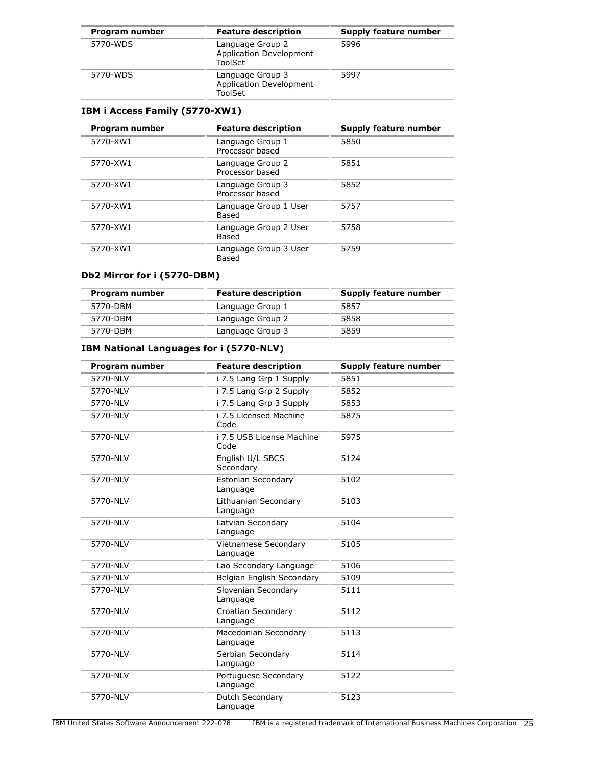| Program number | <b>Feature description</b>                                    | Supply feature number |
|----------------|---------------------------------------------------------------|-----------------------|
| 5770-WDS       | Language Group 2<br><b>Application Development</b><br>ToolSet | 5996                  |
| 5770-WDS       | Language Group 3<br><b>Application Development</b><br>ToolSet | 5997                  |

# **IBM i Access Family (5770-XW1)**

| Program number | <b>Feature description</b>          | Supply feature number |
|----------------|-------------------------------------|-----------------------|
| 5770-XW1       | Language Group 1<br>Processor based | 5850                  |
| 5770-XW1       | Language Group 2<br>Processor based | 5851                  |
| 5770-XW1       | Language Group 3<br>Processor based | 5852                  |
| 5770-XW1       | Language Group 1 User<br>Based      | 5757                  |
| 5770-XW1       | Language Group 2 User<br>Based      | 5758                  |
| 5770-XW1       | Language Group 3 User<br>Based      | 5759                  |

# **Db2 Mirror for i (5770-DBM)**

| Program number | <b>Feature description</b> | Supply feature number |
|----------------|----------------------------|-----------------------|
| 5770-DBM       | Language Group 1           | 5857                  |
| 5770-DBM       | Language Group 2           | 5858                  |
| 5770-DBM       | Language Group 3           | 5859                  |

# **IBM National Languages for i (5770-NLV)**

| Program number | <b>Feature description</b>            | Supply feature number |
|----------------|---------------------------------------|-----------------------|
| 5770-NLV       | i 7.5 Lang Grp 1 Supply               | 5851                  |
| 5770-NLV       | i 7.5 Lang Grp 2 Supply               | 5852                  |
| 5770-NLV       | i 7.5 Lang Grp 3 Supply               | 5853                  |
| 5770-NLV       | i 7.5 Licensed Machine<br>Code        | 5875                  |
| 5770-NLV       | i 7.5 USB License Machine<br>Code     | 5975                  |
| 5770-NLV       | English U/L SBCS<br>Secondary         | 5124                  |
| 5770-NLV       | <b>Estonian Secondary</b><br>Language | 5102                  |
| 5770-NLV       | Lithuanian Secondary<br>Language      | 5103                  |
| 5770-NLV       | Latvian Secondary<br>Language         | 5104                  |
| 5770-NLV       | Vietnamese Secondary<br>Language      | 5105                  |
| 5770-NLV       | Lao Secondary Language                | 5106                  |
| 5770-NLV       | Belgian English Secondary             | 5109                  |
| 5770-NLV       | Slovenian Secondary<br>Language       | 5111                  |
| 5770-NLV       | Croatian Secondary<br>Language        | 5112                  |
| 5770-NLV       | Macedonian Secondary<br>Language      | 5113                  |
| 5770-NLV       | Serbian Secondary<br>Language         | 5114                  |
| 5770-NLV       | Portuguese Secondary<br>Language      | 5122                  |
| 5770-NLV       | Dutch Secondary<br>Language           | 5123                  |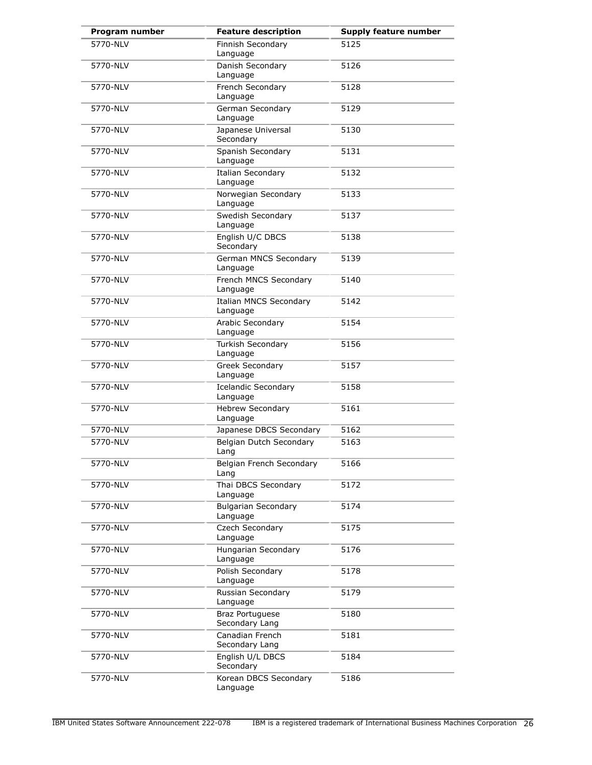| Program number | <b>Feature description</b>                | <b>Supply feature number</b> |
|----------------|-------------------------------------------|------------------------------|
| 5770-NLV       | Finnish Secondary<br>Language             | 5125                         |
| 5770-NLV       | Danish Secondary<br>Language              | 5126                         |
| 5770-NLV       | French Secondary<br>Language              | 5128                         |
| 5770-NLV       | German Secondary<br>Language              | 5129                         |
| 5770-NLV       | Japanese Universal<br>Secondary           | 5130                         |
| 5770-NLV       | Spanish Secondary<br>Language             | 5131                         |
| 5770-NLV       | <b>Italian Secondary</b><br>Language      | 5132                         |
| 5770-NLV       | Norwegian Secondary<br>Language           | 5133                         |
| 5770-NLV       | Swedish Secondary<br>Language             | 5137                         |
| 5770-NLV       | English U/C DBCS<br>Secondary             | 5138                         |
| 5770-NLV       | German MNCS Secondary<br>Language         | 5139                         |
| 5770-NLV       | French MNCS Secondary<br>Language         | 5140                         |
| 5770-NLV       | <b>Italian MNCS Secondary</b><br>Language | 5142                         |
| 5770-NLV       | Arabic Secondary<br>Language              | 5154                         |
| 5770-NLV       | Turkish Secondary<br>Language             | 5156                         |
| 5770-NLV       | Greek Secondary<br>Language               | 5157                         |
| 5770-NLV       | Icelandic Secondary<br>Language           | 5158                         |
| 5770-NLV       | <b>Hebrew Secondary</b><br>Language       | 5161                         |
| 5770-NLV       | Japanese DBCS Secondary                   | 5162                         |
| 5770-NLV       | Belgian Dutch Secondary<br>Lang           | 5163                         |
| 5770-NLV       | Belgian French Secondary<br>Lang          | 5166                         |
| 5770-NLV       | Thai DBCS Secondary<br>Language           | 5172                         |
| 5770-NLV       | <b>Bulgarian Secondary</b><br>Language    | 5174                         |
| 5770-NLV       | Czech Secondary<br>Language               | 5175                         |
| 5770-NLV       | Hungarian Secondary<br>Language           | 5176                         |
| 5770-NLV       | Polish Secondary<br>Language              | 5178                         |
| 5770-NLV       | Russian Secondary<br>Language             | 5179                         |
| 5770-NLV       | <b>Braz Portuguese</b><br>Secondary Lang  | 5180                         |
| 5770-NLV       | Canadian French<br>Secondary Lang         | 5181                         |
| 5770-NLV       | English U/L DBCS<br>Secondary             | 5184                         |
| 5770-NLV       | Korean DBCS Secondary<br>Language         | 5186                         |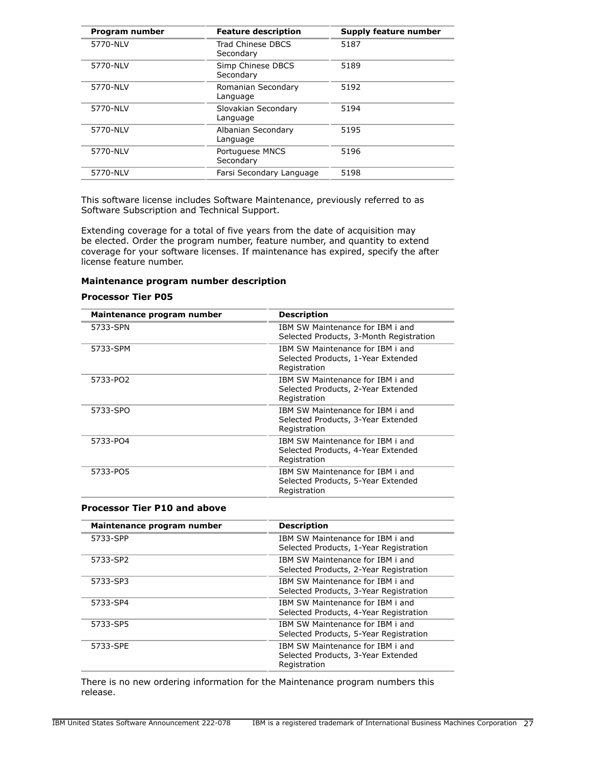| Program number | <b>Feature description</b>      | Supply feature number |
|----------------|---------------------------------|-----------------------|
| 5770-NLV       | Trad Chinese DBCS<br>Secondary  | 5187                  |
| 5770-NLV       | Simp Chinese DBCS<br>Secondary  | 5189                  |
| 5770-NLV       | Romanian Secondary<br>Language  | 5192                  |
| 5770-NLV       | Slovakian Secondary<br>Language | 5194                  |
| 5770-NLV       | Albanian Secondary<br>Language  | 5195                  |
| 5770-NLV       | Portuguese MNCS<br>Secondary    | 5196                  |
| 5770-NLV       | Farsi Secondary Language        | 5198                  |

This software license includes Software Maintenance, previously referred to as Software Subscription and Technical Support.

Extending coverage for a total of five years from the date of acquisition may be elected. Order the program number, feature number, and quantity to extend coverage for your software licenses. If maintenance has expired, specify the after license feature number.

### **Maintenance program number description**

#### **Processor Tier P05**

| Maintenance program number | <b>Description</b>                                                                     |
|----------------------------|----------------------------------------------------------------------------------------|
| 5733-SPN                   | IBM SW Maintenance for IBM i and<br>Selected Products, 3-Month Registration            |
| 5733-SPM                   | IBM SW Maintenance for IBM i and<br>Selected Products, 1-Year Extended<br>Registration |
| 5733-PO2                   | IBM SW Maintenance for IBM i and<br>Selected Products, 2-Year Extended<br>Registration |
| 5733-SPO                   | IBM SW Maintenance for IBM i and<br>Selected Products, 3-Year Extended<br>Registration |
| 5733-PO4                   | IBM SW Maintenance for IBM i and<br>Selected Products, 4-Year Extended<br>Registration |
| 5733-PO5                   | IBM SW Maintenance for IBM i and<br>Selected Products, 5-Year Extended<br>Registration |

#### **Processor Tier P10 and above**

| Maintenance program number | <b>Description</b>                                                                     |
|----------------------------|----------------------------------------------------------------------------------------|
| 5733-SPP                   | TBM SW Maintenance for TBM i and<br>Selected Products, 1-Year Registration             |
| 5733-SP2                   | IBM SW Maintenance for IBM i and<br>Selected Products, 2-Year Registration             |
| 5733-SP3                   | IBM SW Maintenance for IBM i and<br>Selected Products, 3-Year Registration             |
| 5733-SP4                   | TBM SW Maintenance for TBM i and<br>Selected Products, 4-Year Registration             |
| 5733-SP5                   | IBM SW Maintenance for IBM i and<br>Selected Products, 5-Year Registration             |
| 5733-SPE                   | IBM SW Maintenance for IBM i and<br>Selected Products, 3-Year Extended<br>Registration |

There is no new ordering information for the Maintenance program numbers this release.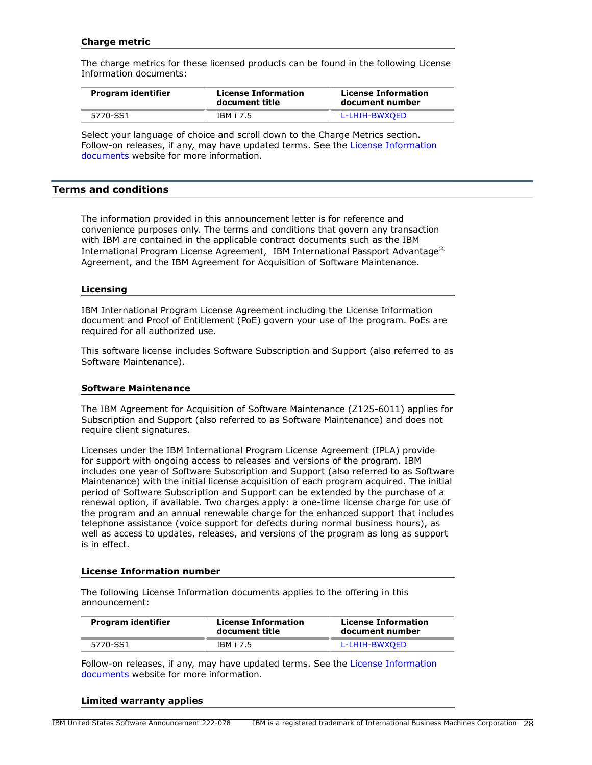### **Charge metric**

The charge metrics for these licensed products can be found in the following License Information documents:

| Program identifier | <b>License Information</b><br>document title | <b>License Information</b><br>document number |
|--------------------|----------------------------------------------|-----------------------------------------------|
| 5770-SS1           | IBM i 7.5                                    | L-LHIH-BWXOED                                 |

Select your language of choice and scroll down to the Charge Metrics section. Follow-on releases, if any, may have updated terms. See the [License Information](https://www.ibm.com/software/sla/sladb.nsf/search?OpenForm) [documents](https://www.ibm.com/software/sla/sladb.nsf/search?OpenForm) website for more information.

### <span id="page-27-0"></span>**Terms and conditions**

The information provided in this announcement letter is for reference and convenience purposes only. The terms and conditions that govern any transaction with IBM are contained in the applicable contract documents such as the IBM International Program License Agreement, IBM International Passport Advantage ${}^{\text{\tiny(R)}}$ Agreement, and the IBM Agreement for Acquisition of Software Maintenance.

### **Licensing**

IBM International Program License Agreement including the License Information document and Proof of Entitlement (PoE) govern your use of the program. PoEs are required for all authorized use.

This software license includes Software Subscription and Support (also referred to as Software Maintenance).

### **Software Maintenance**

The IBM Agreement for Acquisition of Software Maintenance (Z125-6011) applies for Subscription and Support (also referred to as Software Maintenance) and does not require client signatures.

Licenses under the IBM International Program License Agreement (IPLA) provide for support with ongoing access to releases and versions of the program. IBM includes one year of Software Subscription and Support (also referred to as Software Maintenance) with the initial license acquisition of each program acquired. The initial period of Software Subscription and Support can be extended by the purchase of a renewal option, if available. Two charges apply: a one-time license charge for use of the program and an annual renewable charge for the enhanced support that includes telephone assistance (voice support for defects during normal business hours), as well as access to updates, releases, and versions of the program as long as support is in effect.

### **License Information number**

The following License Information documents applies to the offering in this announcement:

| Program identifier | <b>License Information</b><br>document title | <b>License Information</b><br>document number |
|--------------------|----------------------------------------------|-----------------------------------------------|
| 5770-SS1           | IBM i 7.5                                    | L-LHIH-BWXOED                                 |

Follow-on releases, if any, may have updated terms. See the [License Information](https://www.ibm.com/software/sla/sladb.nsf/search?OpenForm) [documents](https://www.ibm.com/software/sla/sladb.nsf/search?OpenForm) website for more information.

#### **Limited warranty applies**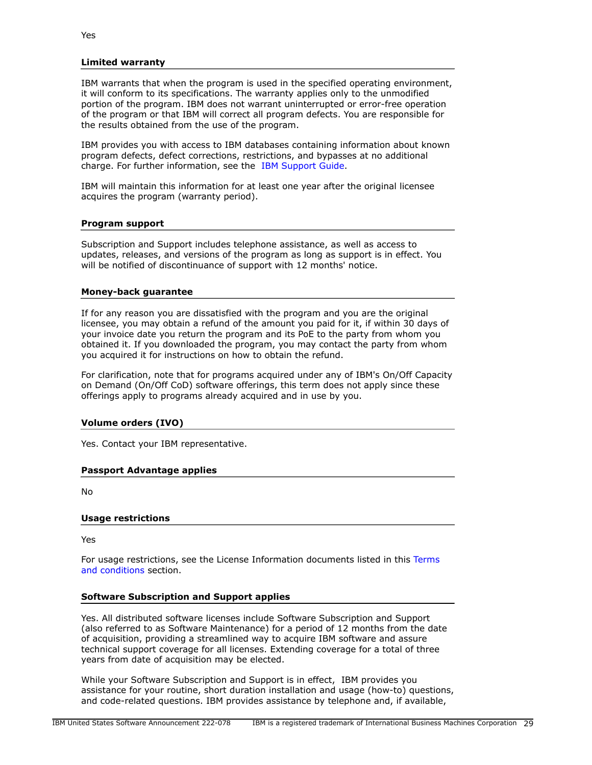### **Limited warranty**

IBM warrants that when the program is used in the specified operating environment, it will conform to its specifications. The warranty applies only to the unmodified portion of the program. IBM does not warrant uninterrupted or error-free operation of the program or that IBM will correct all program defects. You are responsible for the results obtained from the use of the program.

IBM provides you with access to IBM databases containing information about known program defects, defect corrections, restrictions, and bypasses at no additional charge. For further information, see the [IBM Support Guide](http://www.ibm.com/support/customercare/sas/f/handbook/home.html).

IBM will maintain this information for at least one year after the original licensee acquires the program (warranty period).

### **Program support**

Subscription and Support includes telephone assistance, as well as access to updates, releases, and versions of the program as long as support is in effect. You will be notified of discontinuance of support with 12 months' notice.

#### **Money-back guarantee**

If for any reason you are dissatisfied with the program and you are the original licensee, you may obtain a refund of the amount you paid for it, if within 30 days of your invoice date you return the program and its PoE to the party from whom you obtained it. If you downloaded the program, you may contact the party from whom you acquired it for instructions on how to obtain the refund.

For clarification, note that for programs acquired under any of IBM's On/Off Capacity on Demand (On/Off CoD) software offerings, this term does not apply since these offerings apply to programs already acquired and in use by you.

### **Volume orders (IVO)**

Yes. Contact your IBM representative.

### **Passport Advantage applies**

No

#### **Usage restrictions**

Yes

For usage restrictions, see the License Information documents listed in this [Terms](#page-27-0) [and conditions](#page-27-0) section.

### **Software Subscription and Support applies**

Yes. All distributed software licenses include Software Subscription and Support (also referred to as Software Maintenance) for a period of 12 months from the date of acquisition, providing a streamlined way to acquire IBM software and assure technical support coverage for all licenses. Extending coverage for a total of three years from date of acquisition may be elected.

While your Software Subscription and Support is in effect, IBM provides you assistance for your routine, short duration installation and usage (how-to) questions, and code-related questions. IBM provides assistance by telephone and, if available,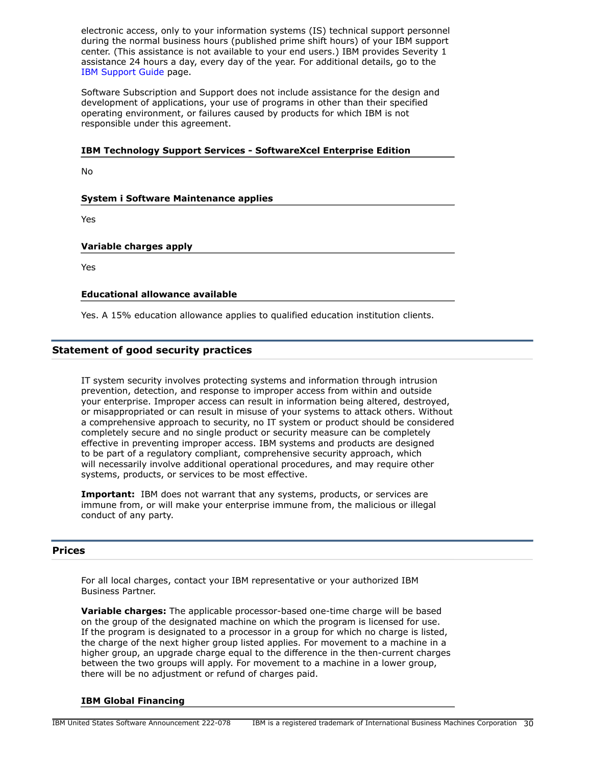electronic access, only to your information systems (IS) technical support personnel during the normal business hours (published prime shift hours) of your IBM support center. (This assistance is not available to your end users.) IBM provides Severity 1 assistance 24 hours a day, every day of the year. For additional details, go to the [IBM Support Guide](http://www.ibm.com/support/handbook) page.

Software Subscription and Support does not include assistance for the design and development of applications, your use of programs in other than their specified operating environment, or failures caused by products for which IBM is not responsible under this agreement.

### **IBM Technology Support Services - SoftwareXcel Enterprise Edition**

No

### **System i Software Maintenance applies**

Yes

### **Variable charges apply**

Yes

### **Educational allowance available**

Yes. A 15% education allowance applies to qualified education institution clients.

### **Statement of good security practices**

IT system security involves protecting systems and information through intrusion prevention, detection, and response to improper access from within and outside your enterprise. Improper access can result in information being altered, destroyed, or misappropriated or can result in misuse of your systems to attack others. Without a comprehensive approach to security, no IT system or product should be considered completely secure and no single product or security measure can be completely effective in preventing improper access. IBM systems and products are designed to be part of a regulatory compliant, comprehensive security approach, which will necessarily involve additional operational procedures, and may require other systems, products, or services to be most effective.

**Important:** IBM does not warrant that any systems, products, or services are immune from, or will make your enterprise immune from, the malicious or illegal conduct of any party.

### <span id="page-29-0"></span>**Prices**

For all local charges, contact your IBM representative or your authorized IBM Business Partner.

**Variable charges:** The applicable processor-based one-time charge will be based on the group of the designated machine on which the program is licensed for use. If the program is designated to a processor in a group for which no charge is listed, the charge of the next higher group listed applies. For movement to a machine in a higher group, an upgrade charge equal to the difference in the then-current charges between the two groups will apply. For movement to a machine in a lower group, there will be no adjustment or refund of charges paid.

### **IBM Global Financing**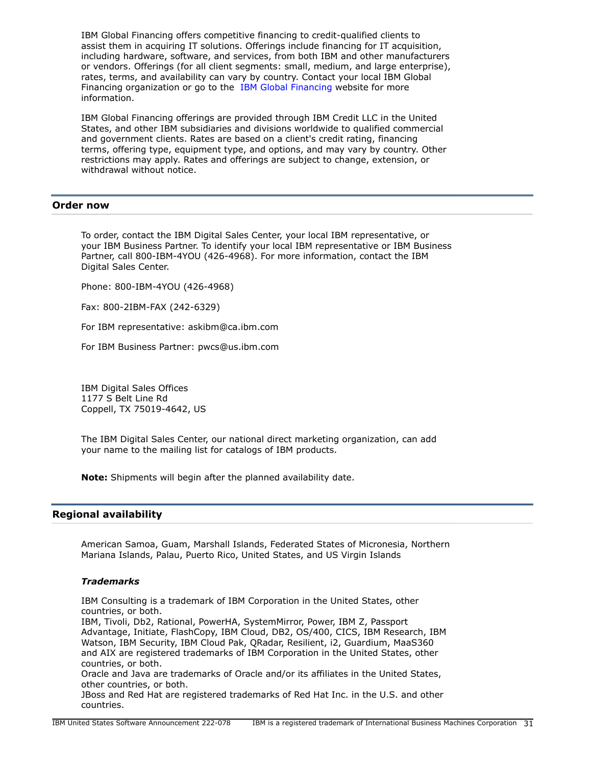IBM Global Financing offers competitive financing to credit-qualified clients to assist them in acquiring IT solutions. Offerings include financing for IT acquisition, including hardware, software, and services, from both IBM and other manufacturers or vendors. Offerings (for all client segments: small, medium, and large enterprise), rates, terms, and availability can vary by country. Contact your local IBM Global Financing organization or go to the [IBM Global Financing](http://www.ibm.com/financing) website for more information.

IBM Global Financing offerings are provided through IBM Credit LLC in the United States, and other IBM subsidiaries and divisions worldwide to qualified commercial and government clients. Rates are based on a client's credit rating, financing terms, offering type, equipment type, and options, and may vary by country. Other restrictions may apply. Rates and offerings are subject to change, extension, or withdrawal without notice.

### <span id="page-30-0"></span>**Order now**

To order, contact the IBM Digital Sales Center, your local IBM representative, or your IBM Business Partner. To identify your local IBM representative or IBM Business Partner, call 800-IBM-4YOU (426-4968). For more information, contact the IBM Digital Sales Center.

Phone: 800-IBM-4YOU (426-4968)

Fax: 800-2IBM-FAX (242-6329)

For IBM representative: askibm@ca.ibm.com

For IBM Business Partner: pwcs@us.ibm.com

IBM Digital Sales Offices 1177 S Belt Line Rd Coppell, TX 75019-4642, US

The IBM Digital Sales Center, our national direct marketing organization, can add your name to the mailing list for catalogs of IBM products.

**Note:** Shipments will begin after the planned availability date.

### <span id="page-30-1"></span>**Regional availability**

American Samoa, Guam, Marshall Islands, Federated States of Micronesia, Northern Mariana Islands, Palau, Puerto Rico, United States, and US Virgin Islands

### *Trademarks*

IBM Consulting is a trademark of IBM Corporation in the United States, other countries, or both.

IBM, Tivoli, Db2, Rational, PowerHA, SystemMirror, Power, IBM Z, Passport Advantage, Initiate, FlashCopy, IBM Cloud, DB2, OS/400, CICS, IBM Research, IBM Watson, IBM Security, IBM Cloud Pak, QRadar, Resilient, i2, Guardium, MaaS360 and AIX are registered trademarks of IBM Corporation in the United States, other countries, or both.

Oracle and Java are trademarks of Oracle and/or its affiliates in the United States, other countries, or both.

JBoss and Red Hat are registered trademarks of Red Hat Inc. in the U.S. and other countries.